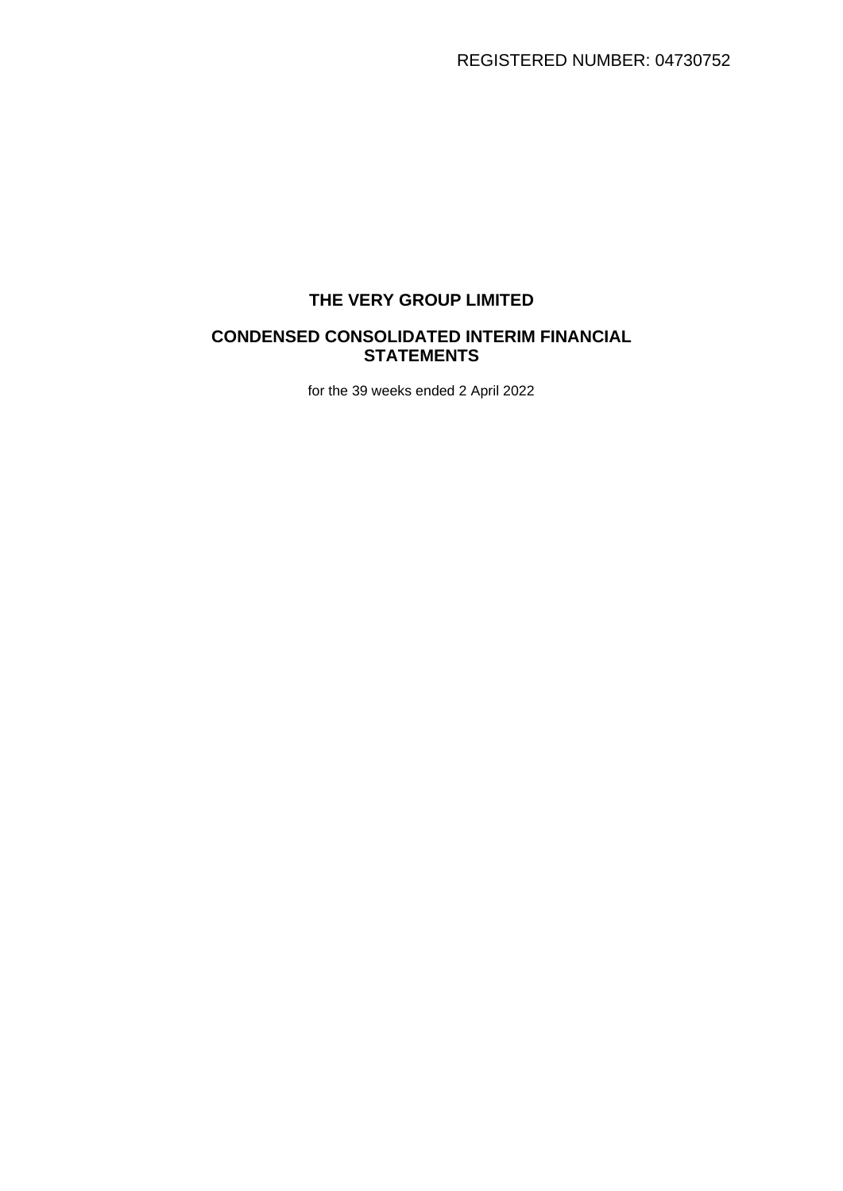# **THE VERY GROUP LIMITED**

## **CONDENSED CONSOLIDATED INTERIM FINANCIAL STATEMENTS**

for the 39 weeks ended 2 April 2022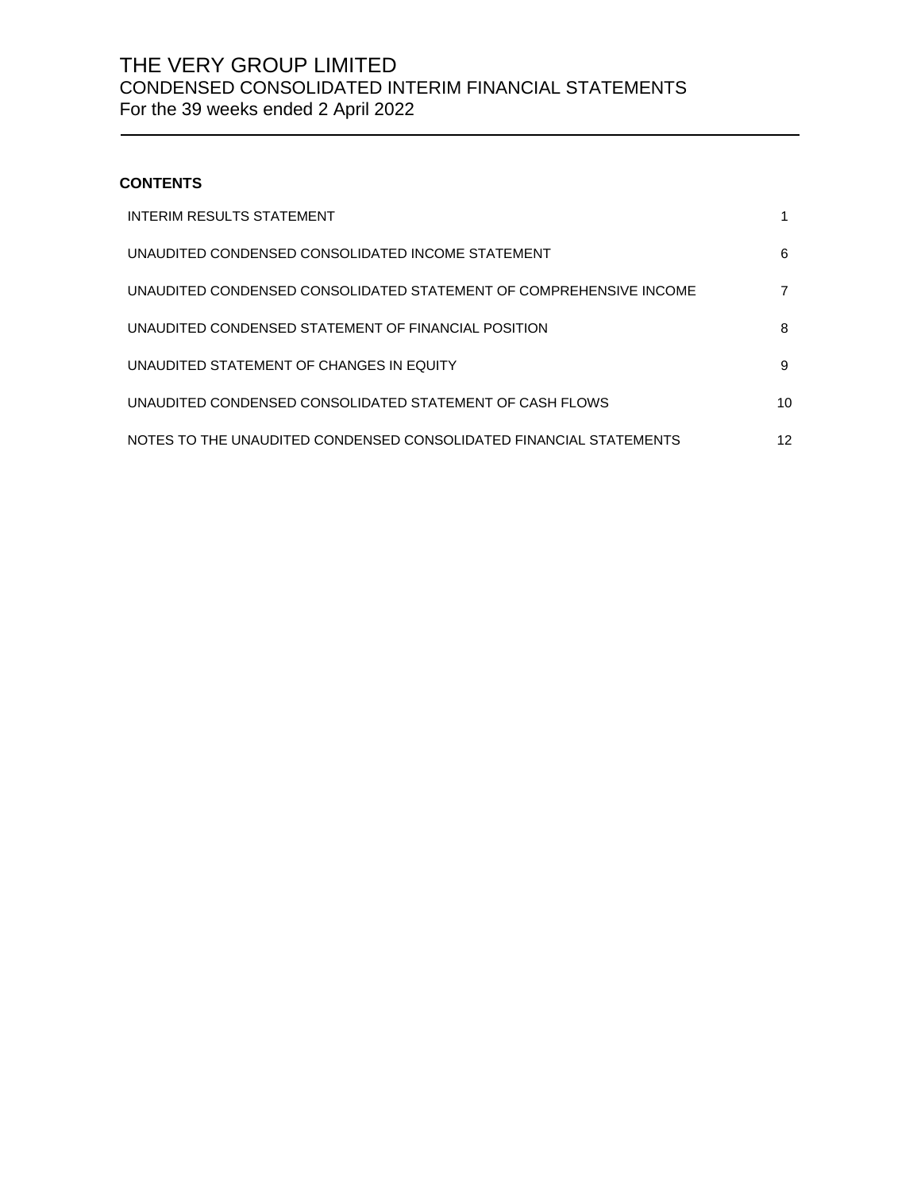## **CONTENTS**

| <b>INTERIM RESULTS STATEMENT</b>                                   |    |
|--------------------------------------------------------------------|----|
| UNAUDITED CONDENSED CONSOLIDATED INCOME STATEMENT                  | 6  |
| UNAUDITED CONDENSED CONSOLIDATED STATEMENT OF COMPREHENSIVE INCOME |    |
| UNAUDITED CONDENSED STATEMENT OF FINANCIAL POSITION                | 8  |
| UNAUDITED STATEMENT OF CHANGES IN EQUITY                           | 9  |
| UNAUDITED CONDENSED CONSOLIDATED STATEMENT OF CASH FLOWS           | 10 |
| NOTES TO THE UNAUDITED CONDENSED CONSOLIDATED FINANCIAL STATEMENTS | 12 |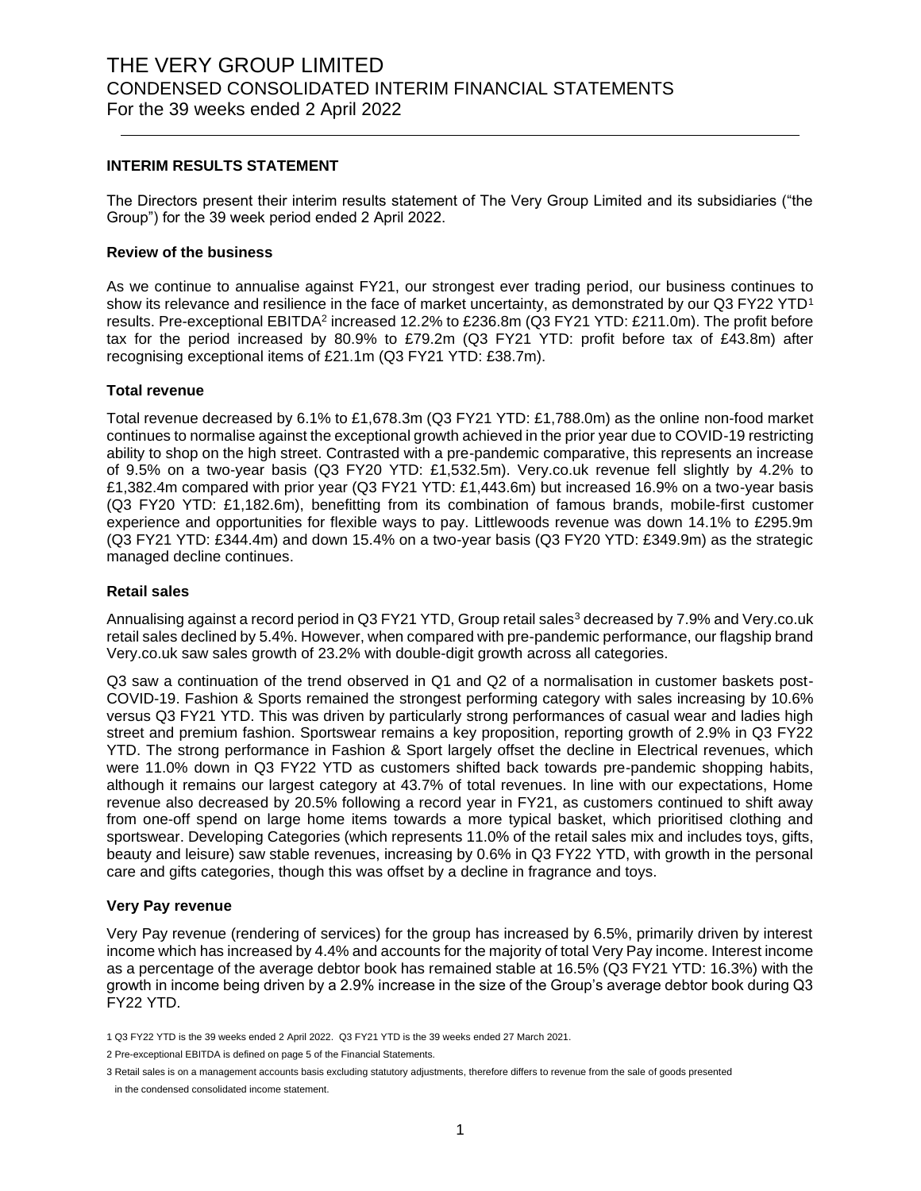#### **INTERIM RESULTS STATEMENT**

The Directors present their interim results statement of The Very Group Limited and its subsidiaries ("the Group") for the 39 week period ended 2 April 2022.

#### **Review of the business**

As we continue to annualise against FY21, our strongest ever trading period, our business continues to show its relevance and resilience in the face of market uncertainty, as demonstrated by our Q3 FY22 YTD<sup>1</sup> results. Pre-exceptional EBITDA<sup>2</sup> increased 12.2% to £236.8m (Q3 FY21 YTD: £211.0m). The profit before tax for the period increased by 80.9% to £79.2m (Q3 FY21 YTD: profit before tax of £43.8m) after recognising exceptional items of £21.1m (Q3 FY21 YTD: £38.7m).

#### **Total revenue**

Total revenue decreased by 6.1% to £1,678.3m (Q3 FY21 YTD: £1,788.0m) as the online non-food market continues to normalise against the exceptional growth achieved in the prior year due to COVID-19 restricting ability to shop on the high street. Contrasted with a pre-pandemic comparative, this represents an increase of 9.5% on a two-year basis (Q3 FY20 YTD: £1,532.5m). Very.co.uk revenue fell slightly by 4.2% to £1,382.4m compared with prior year (Q3 FY21 YTD: £1,443.6m) but increased 16.9% on a two-year basis (Q3 FY20 YTD: £1,182.6m), benefitting from its combination of famous brands, mobile-first customer experience and opportunities for flexible ways to pay. Littlewoods revenue was down 14.1% to £295.9m (Q3 FY21 YTD: £344.4m) and down 15.4% on a two-year basis (Q3 FY20 YTD: £349.9m) as the strategic managed decline continues.

#### **Retail sales**

Annualising against a record period in Q3 FY21 YTD, Group retail sales<sup>3</sup> decreased by 7.9% and Very.co.uk retail sales declined by 5.4%. However, when compared with pre-pandemic performance, our flagship brand Very.co.uk saw sales growth of 23.2% with double-digit growth across all categories.

Q3 saw a continuation of the trend observed in Q1 and Q2 of a normalisation in customer baskets post-COVID-19. Fashion & Sports remained the strongest performing category with sales increasing by 10.6% versus Q3 FY21 YTD. This was driven by particularly strong performances of casual wear and ladies high street and premium fashion. Sportswear remains a key proposition, reporting growth of 2.9% in Q3 FY22 YTD. The strong performance in Fashion & Sport largely offset the decline in Electrical revenues, which were 11.0% down in Q3 FY22 YTD as customers shifted back towards pre-pandemic shopping habits, although it remains our largest category at 43.7% of total revenues. In line with our expectations, Home revenue also decreased by 20.5% following a record year in FY21, as customers continued to shift away from one-off spend on large home items towards a more typical basket, which prioritised clothing and sportswear. Developing Categories (which represents 11.0% of the retail sales mix and includes toys, gifts, beauty and leisure) saw stable revenues, increasing by 0.6% in Q3 FY22 YTD, with growth in the personal care and gifts categories, though this was offset by a decline in fragrance and toys.

#### **Very Pay revenue**

Very Pay revenue (rendering of services) for the group has increased by 6.5%, primarily driven by interest income which has increased by 4.4% and accounts for the majority of total Very Pay income. Interest income as a percentage of the average debtor book has remained stable at 16.5% (Q3 FY21 YTD: 16.3%) with the growth in income being driven by a 2.9% increase in the size of the Group's average debtor book during Q3 FY22 YTD.

<sup>1</sup> Q3 FY22 YTD is the 39 weeks ended 2 April 2022. Q3 FY21 YTD is the 39 weeks ended 27 March 2021.

<sup>2</sup> Pre-exceptional EBITDA is defined on page 5 of the Financial Statements.

<sup>3</sup> Retail sales is on a management accounts basis excluding statutory adjustments, therefore differs to revenue from the sale of goods presented in the condensed consolidated income statement.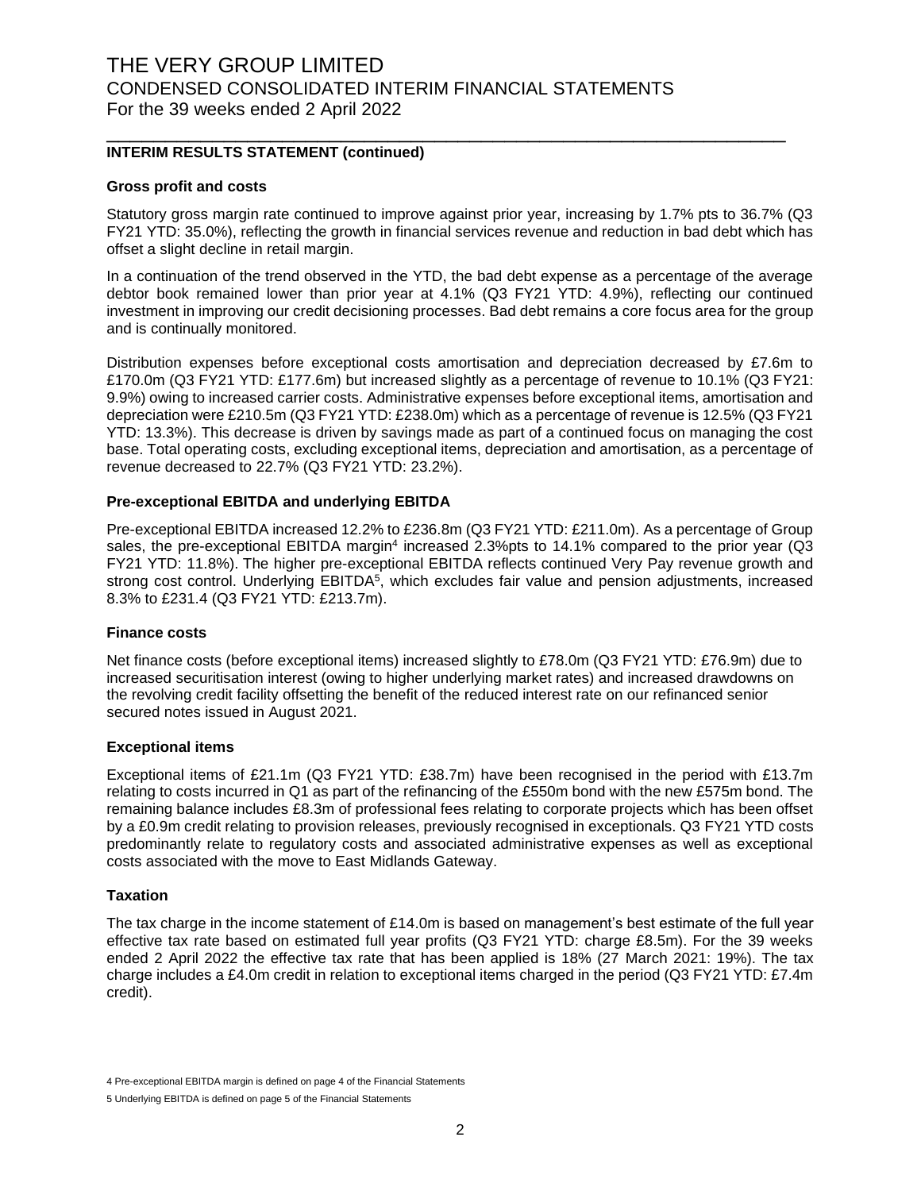### **INTERIM RESULTS STATEMENT (continued)**

#### **Gross profit and costs**

Statutory gross margin rate continued to improve against prior year, increasing by 1.7% pts to 36.7% (Q3 FY21 YTD: 35.0%), reflecting the growth in financial services revenue and reduction in bad debt which has offset a slight decline in retail margin.

\_\_\_\_\_\_\_\_\_\_\_\_\_\_\_\_\_\_\_\_\_\_\_\_\_\_\_\_\_\_\_\_\_\_\_\_\_\_\_\_\_\_\_\_\_\_\_\_\_\_\_\_\_\_\_\_\_\_

In a continuation of the trend observed in the YTD, the bad debt expense as a percentage of the average debtor book remained lower than prior year at 4.1% (Q3 FY21 YTD: 4.9%), reflecting our continued investment in improving our credit decisioning processes. Bad debt remains a core focus area for the group and is continually monitored.

Distribution expenses before exceptional costs amortisation and depreciation decreased by £7.6m to £170.0m (Q3 FY21 YTD: £177.6m) but increased slightly as a percentage of revenue to 10.1% (Q3 FY21: 9.9%) owing to increased carrier costs. Administrative expenses before exceptional items, amortisation and depreciation were £210.5m (Q3 FY21 YTD: £238.0m) which as a percentage of revenue is 12.5% (Q3 FY21 YTD: 13.3%). This decrease is driven by savings made as part of a continued focus on managing the cost base. Total operating costs, excluding exceptional items, depreciation and amortisation, as a percentage of revenue decreased to 22.7% (Q3 FY21 YTD: 23.2%).

#### **Pre-exceptional EBITDA and underlying EBITDA**

Pre-exceptional EBITDA increased 12.2% to £236.8m (Q3 FY21 YTD: £211.0m). As a percentage of Group sales, the pre-exceptional EBITDA margin<sup>4</sup> increased 2.3%pts to 14.1% compared to the prior year (Q3 FY21 YTD: 11.8%). The higher pre-exceptional EBITDA reflects continued Very Pay revenue growth and strong cost control. Underlying EBITDA<sup>5</sup>, which excludes fair value and pension adjustments, increased 8.3% to £231.4 (Q3 FY21 YTD: £213.7m).

#### **Finance costs**

Net finance costs (before exceptional items) increased slightly to £78.0m (Q3 FY21 YTD: £76.9m) due to increased securitisation interest (owing to higher underlying market rates) and increased drawdowns on the revolving credit facility offsetting the benefit of the reduced interest rate on our refinanced senior secured notes issued in August 2021.

#### **Exceptional items**

Exceptional items of £21.1m (Q3 FY21 YTD: £38.7m) have been recognised in the period with £13.7m relating to costs incurred in Q1 as part of the refinancing of the £550m bond with the new £575m bond. The remaining balance includes £8.3m of professional fees relating to corporate projects which has been offset by a £0.9m credit relating to provision releases, previously recognised in exceptionals. Q3 FY21 YTD costs predominantly relate to regulatory costs and associated administrative expenses as well as exceptional costs associated with the move to East Midlands Gateway.

#### **Taxation**

The tax charge in the income statement of £14.0m is based on management's best estimate of the full year effective tax rate based on estimated full year profits (Q3 FY21 YTD: charge £8.5m). For the 39 weeks ended 2 April 2022 the effective tax rate that has been applied is 18% (27 March 2021: 19%). The tax charge includes a £4.0m credit in relation to exceptional items charged in the period (Q3 FY21 YTD: £7.4m credit).

<sup>4</sup> Pre-exceptional EBITDA margin is defined on page 4 of the Financial Statements

<sup>5</sup> Underlying EBITDA is defined on page 5 of the Financial Statements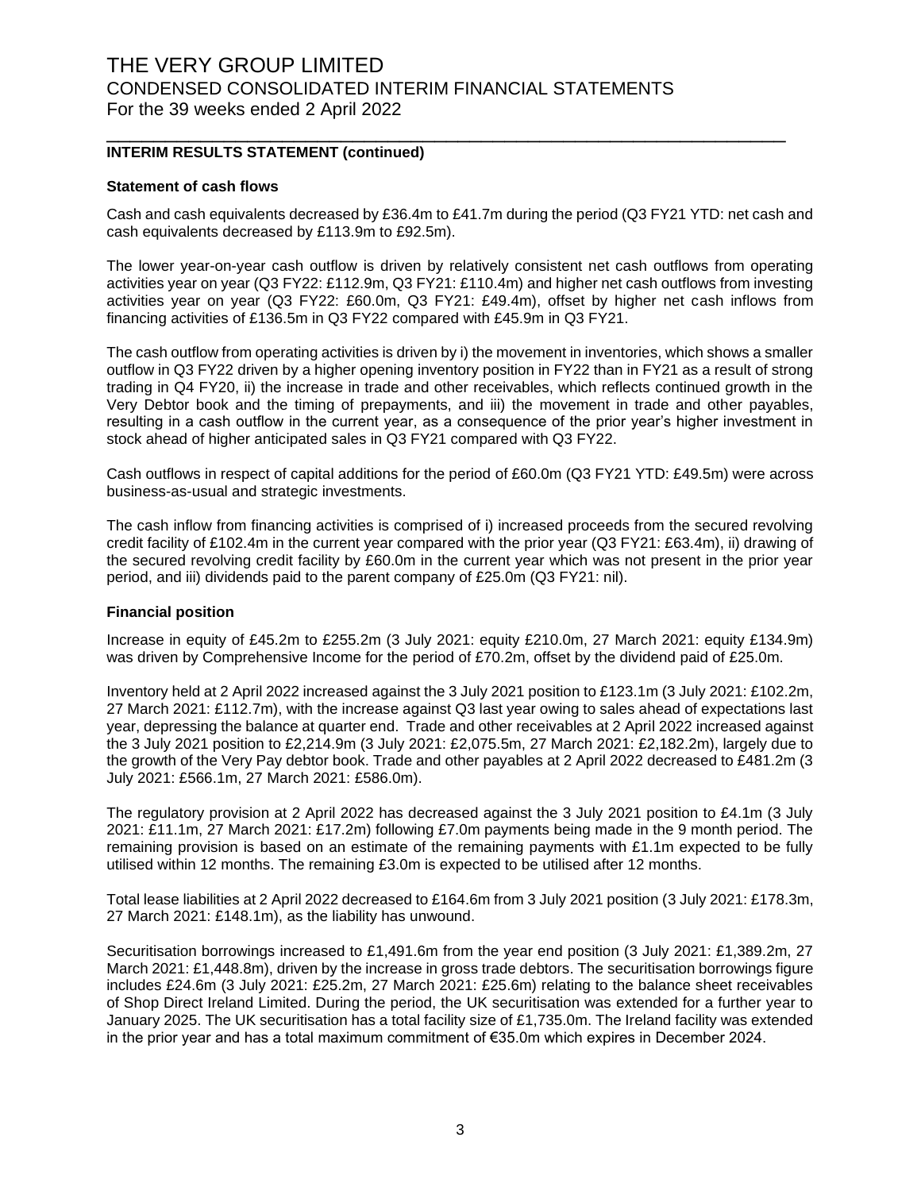### **INTERIM RESULTS STATEMENT (continued)**

#### **Statement of cash flows**

Cash and cash equivalents decreased by £36.4m to £41.7m during the period (Q3 FY21 YTD: net cash and cash equivalents decreased by £113.9m to £92.5m).

\_\_\_\_\_\_\_\_\_\_\_\_\_\_\_\_\_\_\_\_\_\_\_\_\_\_\_\_\_\_\_\_\_\_\_\_\_\_\_\_\_\_\_\_\_\_\_\_\_\_\_\_\_\_\_\_\_\_

The lower year-on-year cash outflow is driven by relatively consistent net cash outflows from operating activities year on year (Q3 FY22: £112.9m, Q3 FY21: £110.4m) and higher net cash outflows from investing activities year on year (Q3 FY22: £60.0m, Q3 FY21: £49.4m), offset by higher net cash inflows from financing activities of £136.5m in Q3 FY22 compared with £45.9m in Q3 FY21.

The cash outflow from operating activities is driven by i) the movement in inventories, which shows a smaller outflow in Q3 FY22 driven by a higher opening inventory position in FY22 than in FY21 as a result of strong trading in Q4 FY20, ii) the increase in trade and other receivables, which reflects continued growth in the Very Debtor book and the timing of prepayments, and iii) the movement in trade and other payables, resulting in a cash outflow in the current year, as a consequence of the prior year's higher investment in stock ahead of higher anticipated sales in Q3 FY21 compared with Q3 FY22.

Cash outflows in respect of capital additions for the period of £60.0m (Q3 FY21 YTD: £49.5m) were across business-as-usual and strategic investments.

The cash inflow from financing activities is comprised of i) increased proceeds from the secured revolving credit facility of £102.4m in the current year compared with the prior year (Q3 FY21: £63.4m), ii) drawing of the secured revolving credit facility by £60.0m in the current year which was not present in the prior year period, and iii) dividends paid to the parent company of £25.0m (Q3 FY21: nil).

#### **Financial position**

Increase in equity of £45.2m to £255.2m (3 July 2021: equity £210.0m, 27 March 2021: equity £134.9m) was driven by Comprehensive Income for the period of £70.2m, offset by the dividend paid of £25.0m.

Inventory held at 2 April 2022 increased against the 3 July 2021 position to £123.1m (3 July 2021: £102.2m, 27 March 2021: £112.7m), with the increase against Q3 last year owing to sales ahead of expectations last year, depressing the balance at quarter end. Trade and other receivables at 2 April 2022 increased against the 3 July 2021 position to £2,214.9m (3 July 2021: £2,075.5m, 27 March 2021: £2,182.2m), largely due to the growth of the Very Pay debtor book. Trade and other payables at 2 April 2022 decreased to £481.2m (3 July 2021: £566.1m, 27 March 2021: £586.0m).

The regulatory provision at 2 April 2022 has decreased against the 3 July 2021 position to £4.1m (3 July 2021: £11.1m, 27 March 2021: £17.2m) following £7.0m payments being made in the 9 month period. The remaining provision is based on an estimate of the remaining payments with £1.1m expected to be fully utilised within 12 months. The remaining £3.0m is expected to be utilised after 12 months.

Total lease liabilities at 2 April 2022 decreased to £164.6m from 3 July 2021 position (3 July 2021: £178.3m, 27 March 2021: £148.1m), as the liability has unwound.

Securitisation borrowings increased to £1,491.6m from the year end position (3 July 2021: £1,389.2m, 27 March 2021: £1,448.8m), driven by the increase in gross trade debtors. The securitisation borrowings figure includes £24.6m (3 July 2021: £25.2m, 27 March 2021: £25.6m) relating to the balance sheet receivables of Shop Direct Ireland Limited. During the period, the UK securitisation was extended for a further year to January 2025. The UK securitisation has a total facility size of £1,735.0m. The Ireland facility was extended in the prior year and has a total maximum commitment of €35.0m which expires in December 2024.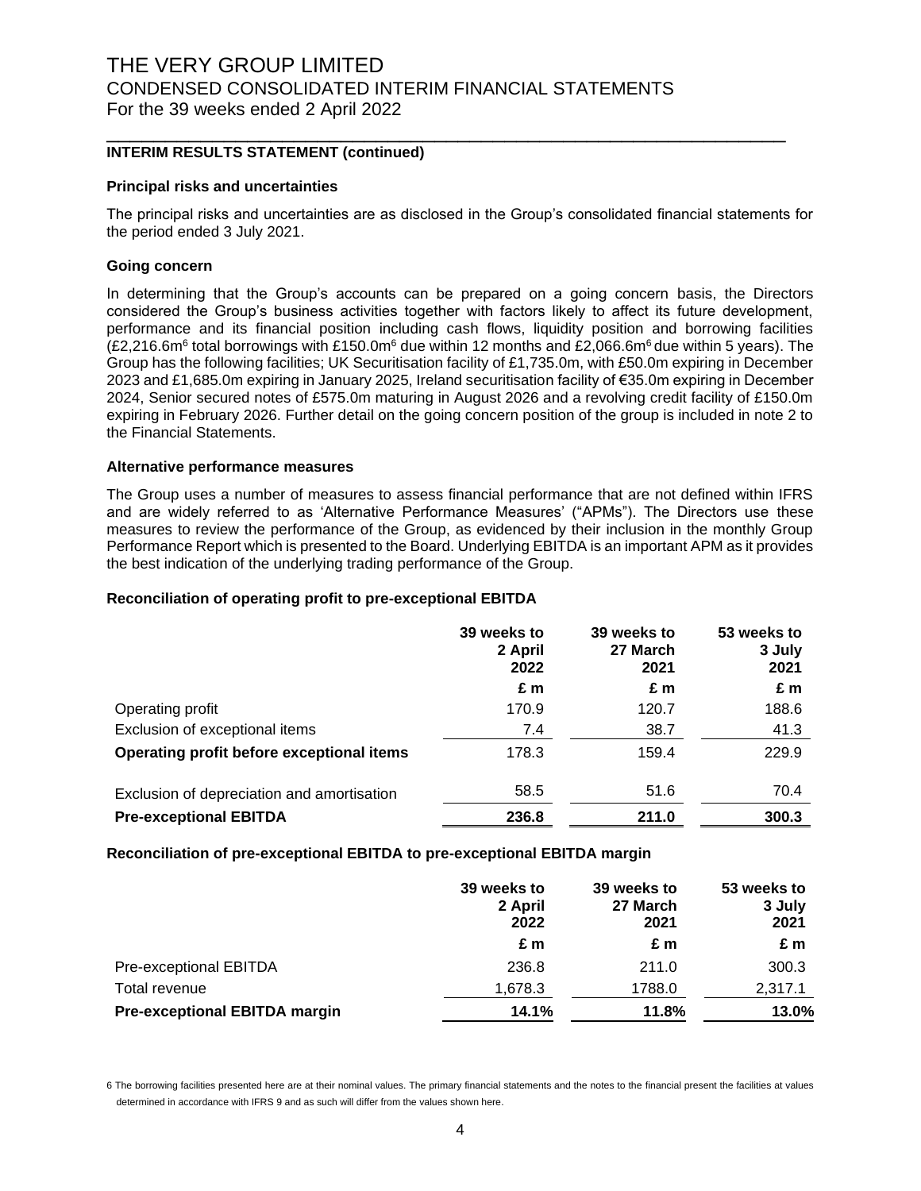#### **INTERIM RESULTS STATEMENT (continued)**

#### **Principal risks and uncertainties**

The principal risks and uncertainties are as disclosed in the Group's consolidated financial statements for the period ended 3 July 2021.

\_\_\_\_\_\_\_\_\_\_\_\_\_\_\_\_\_\_\_\_\_\_\_\_\_\_\_\_\_\_\_\_\_\_\_\_\_\_\_\_\_\_\_\_\_\_\_\_\_\_\_\_\_\_\_\_\_\_

#### **Going concern**

In determining that the Group's accounts can be prepared on a going concern basis, the Directors considered the Group's business activities together with factors likely to affect its future development, performance and its financial position including cash flows, liquidity position and borrowing facilities (£2,216.6m<sup>6</sup> total borrowings with £150.0m<sup>6</sup> due within 12 months and £2,066.6m<sup>6</sup> due within 5 years). The Group has the following facilities; UK Securitisation facility of £1,735.0m, with £50.0m expiring in December 2023 and £1,685.0m expiring in January 2025, Ireland securitisation facility of €35.0m expiring in December 2024, Senior secured notes of £575.0m maturing in August 2026 and a revolving credit facility of £150.0m expiring in February 2026. Further detail on the going concern position of the group is included in note 2 to the Financial Statements.

#### **Alternative performance measures**

The Group uses a number of measures to assess financial performance that are not defined within IFRS and are widely referred to as 'Alternative Performance Measures' ("APMs"). The Directors use these measures to review the performance of the Group, as evidenced by their inclusion in the monthly Group Performance Report which is presented to the Board. Underlying EBITDA is an important APM as it provides the best indication of the underlying trading performance of the Group.

#### **Reconciliation of operating profit to pre-exceptional EBITDA**

|                                            | 39 weeks to<br>2 April<br>2022 | 39 weeks to<br>27 March<br>2021 | 53 weeks to<br>3 July<br>2021 |
|--------------------------------------------|--------------------------------|---------------------------------|-------------------------------|
|                                            | £m                             | £m                              | £m                            |
| Operating profit                           | 170.9                          | 120.7                           | 188.6                         |
| Exclusion of exceptional items             | 7.4                            | 38.7                            | 41.3                          |
| Operating profit before exceptional items  | 178.3                          | 159.4                           | 229.9                         |
| Exclusion of depreciation and amortisation | 58.5                           | 51.6                            | 70.4                          |
| <b>Pre-exceptional EBITDA</b>              | 236.8                          | 211.0                           | 300.3                         |

#### **Reconciliation of pre-exceptional EBITDA to pre-exceptional EBITDA margin**

|                                      | 39 weeks to<br>2 April<br>2022 | 39 weeks to<br>27 March<br>2021 | 53 weeks to<br>3 July<br>2021 |
|--------------------------------------|--------------------------------|---------------------------------|-------------------------------|
|                                      | £ m                            | £m                              | £m                            |
| Pre-exceptional EBITDA               | 236.8                          | 211.0                           | 300.3                         |
| Total revenue                        | 1,678.3                        | 1788.0                          | 2,317.1                       |
| <b>Pre-exceptional EBITDA margin</b> | 14.1%                          | 11.8%                           | 13.0%                         |

6 The borrowing facilities presented here are at their nominal values. The primary financial statements and the notes to the financial present the facilities at values determined in accordance with IFRS 9 and as such will differ from the values shown here.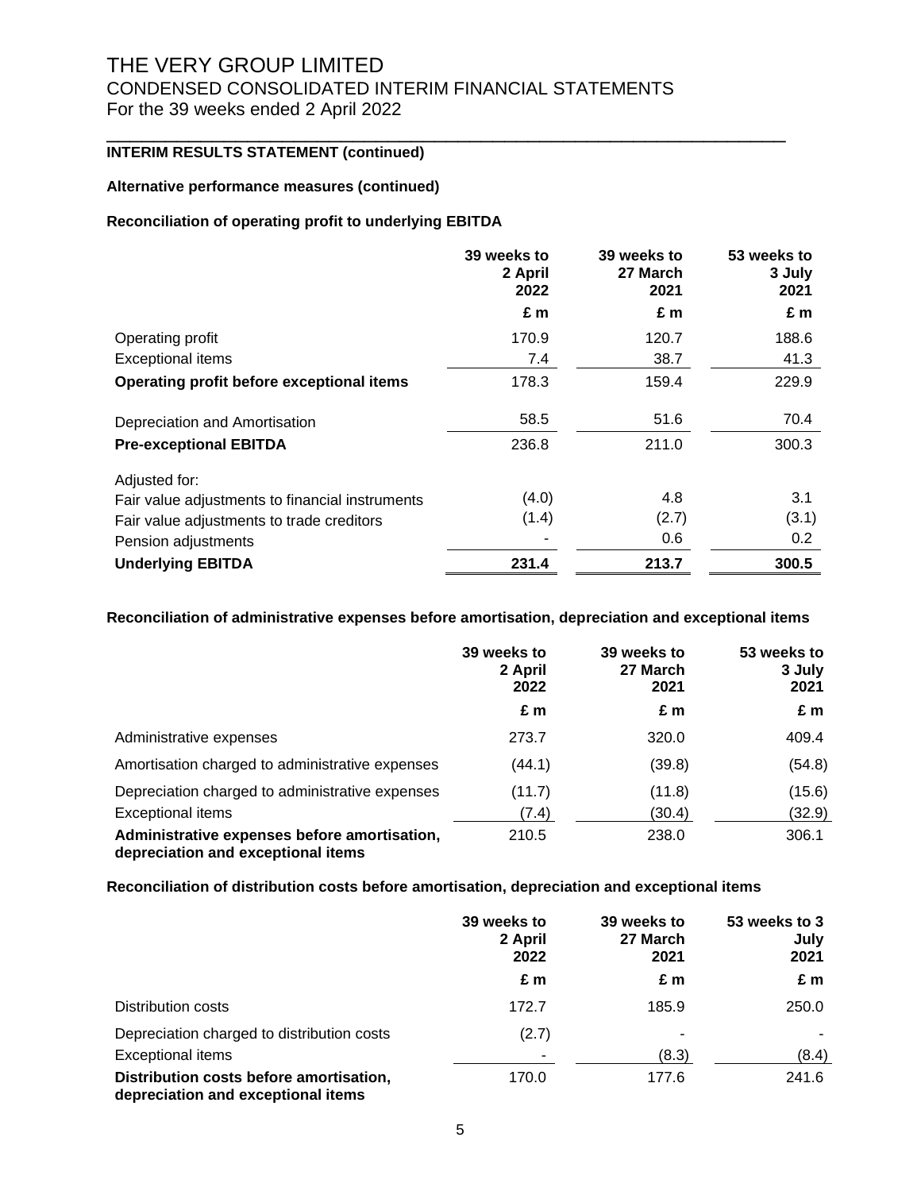\_\_\_\_\_\_\_\_\_\_\_\_\_\_\_\_\_\_\_\_\_\_\_\_\_\_\_\_\_\_\_\_\_\_\_\_\_\_\_\_\_\_\_\_\_\_\_\_\_\_\_\_\_\_\_\_\_\_

### **INTERIM RESULTS STATEMENT (continued)**

#### **Alternative performance measures (continued)**

### **Reconciliation of operating profit to underlying EBITDA**

|                                                 | 39 weeks to<br>2 April<br>2022 | 39 weeks to<br>27 March<br>2021 | 53 weeks to<br>3 July<br>2021 |
|-------------------------------------------------|--------------------------------|---------------------------------|-------------------------------|
|                                                 | £ m                            | £ m                             | £m                            |
| Operating profit                                | 170.9                          | 120.7                           | 188.6                         |
| <b>Exceptional items</b>                        | 7.4                            | 38.7                            | 41.3                          |
| Operating profit before exceptional items       | 178.3                          | 159.4                           | 229.9                         |
| Depreciation and Amortisation                   | 58.5                           | 51.6                            | 70.4                          |
| <b>Pre-exceptional EBITDA</b>                   | 236.8                          | 211.0                           | 300.3                         |
| Adjusted for:                                   |                                |                                 |                               |
| Fair value adjustments to financial instruments | (4.0)                          | 4.8                             | 3.1                           |
| Fair value adjustments to trade creditors       | (1.4)                          | (2.7)                           | (3.1)                         |
| Pension adjustments                             |                                | 0.6                             | $0.2^{\circ}$                 |
| <b>Underlying EBITDA</b>                        | 231.4                          | 213.7                           | 300.5                         |

**Reconciliation of administrative expenses before amortisation, depreciation and exceptional items**

|                                                                                    | 39 weeks to<br>2 April<br>2022 | 39 weeks to<br>27 March<br>2021 | 53 weeks to<br>3 July<br>2021 |
|------------------------------------------------------------------------------------|--------------------------------|---------------------------------|-------------------------------|
|                                                                                    | £ m                            | £m                              | £m                            |
| Administrative expenses                                                            | 273.7                          | 320.0                           | 409.4                         |
| Amortisation charged to administrative expenses                                    | (44.1)                         | (39.8)                          | (54.8)                        |
| Depreciation charged to administrative expenses                                    | (11.7)                         | (11.8)                          | (15.6)                        |
| Exceptional items                                                                  | (7.4)                          | (30.4)                          | (32.9)                        |
| Administrative expenses before amortisation,<br>depreciation and exceptional items | 210.5                          | 238.0                           | 306.1                         |

#### **Reconciliation of distribution costs before amortisation, depreciation and exceptional items**

|                                                                               | 39 weeks to<br>2 April<br>2022 | 39 weeks to<br>27 March<br>2021 | 53 weeks to 3<br>July<br>2021 |
|-------------------------------------------------------------------------------|--------------------------------|---------------------------------|-------------------------------|
|                                                                               | £ m                            | £m                              | £m                            |
| Distribution costs                                                            | 172.7                          | 185.9                           | 250.0                         |
| Depreciation charged to distribution costs                                    | (2.7)                          |                                 |                               |
| <b>Exceptional items</b>                                                      |                                | (8.3)                           | (8.4)                         |
| Distribution costs before amortisation,<br>depreciation and exceptional items | 170.0                          | 177.6                           | 241.6                         |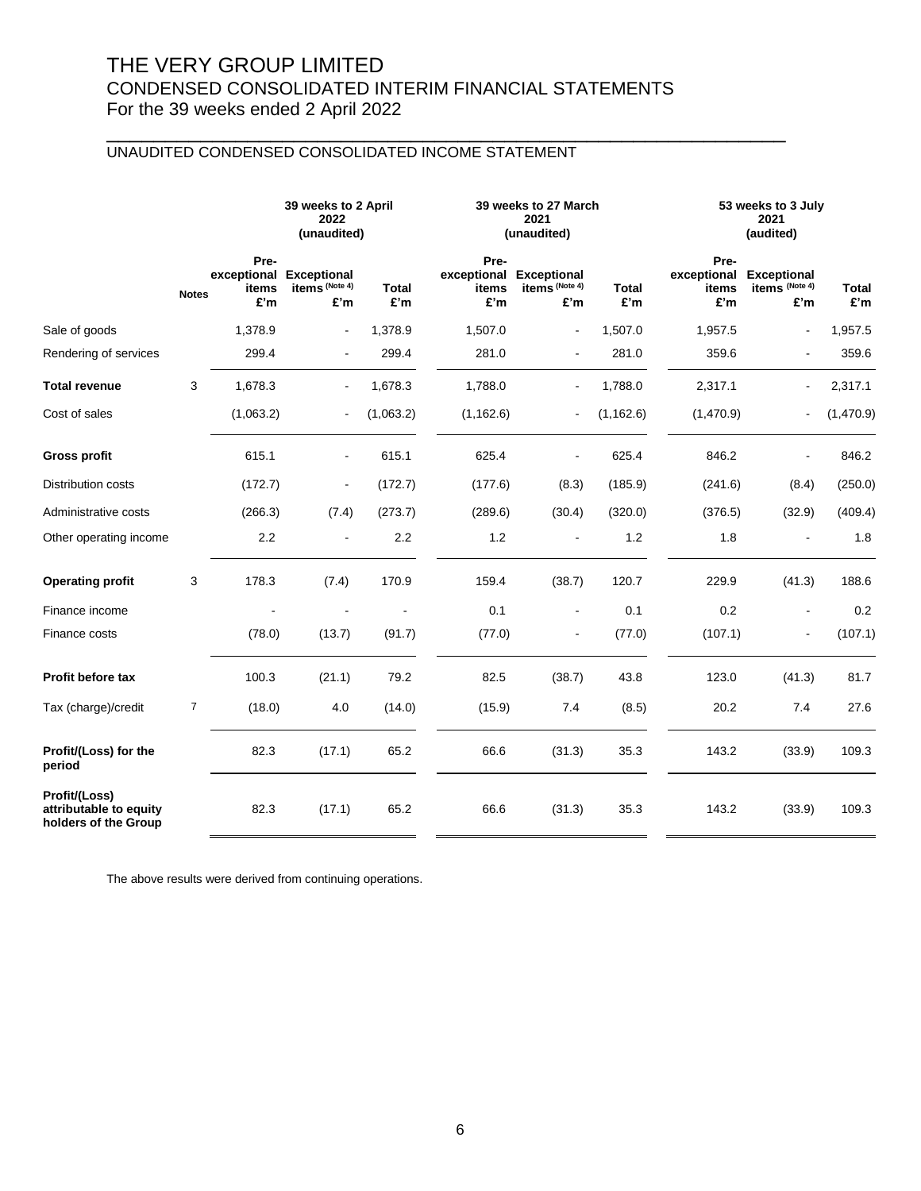\_\_\_\_\_\_\_\_\_\_\_\_\_\_\_\_\_\_\_\_\_\_\_\_\_\_\_\_\_\_\_\_\_\_\_\_\_\_\_\_\_\_\_\_\_\_\_\_\_\_\_\_\_\_\_\_\_\_

## UNAUDITED CONDENSED CONSOLIDATED INCOME STATEMENT

|                                                                 |                |                      | 39 weeks to 2 April<br>2022<br>(unaudited)       |                     |                                     | 39 weeks to 27 March<br>2021<br>(unaudited) |              |                                                 | 53 weeks to 3 July<br>2021<br>(audited) |                     |
|-----------------------------------------------------------------|----------------|----------------------|--------------------------------------------------|---------------------|-------------------------------------|---------------------------------------------|--------------|-------------------------------------------------|-----------------------------------------|---------------------|
|                                                                 | <b>Notes</b>   | Pre-<br>items<br>£'m | exceptional Exceptional<br>items (Note 4)<br>£'m | <b>Total</b><br>£'m | Pre-<br>exceptional<br>items<br>£'m | <b>Exceptional</b><br>items (Note 4)<br>£'m | Total<br>£'m | Pre-<br>exceptional Exceptional<br>items<br>£'m | items (Note 4)<br>£'m                   | <b>Total</b><br>£'m |
| Sale of goods                                                   |                | 1,378.9              | ÷,                                               | 1,378.9             | 1,507.0                             | $\blacksquare$                              | 1,507.0      | 1,957.5                                         |                                         | 1,957.5             |
| Rendering of services                                           |                | 299.4                | ÷,                                               | 299.4               | 281.0                               | $\blacksquare$                              | 281.0        | 359.6                                           | $\blacksquare$                          | 359.6               |
| <b>Total revenue</b>                                            | 3              | 1,678.3              | $\blacksquare$                                   | 1,678.3             | 1,788.0                             | $\blacksquare$                              | 1,788.0      | 2,317.1                                         | $\blacksquare$                          | 2,317.1             |
| Cost of sales                                                   |                | (1,063.2)            | ÷,                                               | (1,063.2)           | (1, 162.6)                          | $\blacksquare$                              | (1, 162.6)   | (1,470.9)                                       |                                         | (1,470.9)           |
| <b>Gross profit</b>                                             |                | 615.1                | $\blacksquare$                                   | 615.1               | 625.4                               | ÷,                                          | 625.4        | 846.2                                           |                                         | 846.2               |
| Distribution costs                                              |                | (172.7)              | ä,                                               | (172.7)             | (177.6)                             | (8.3)                                       | (185.9)      | (241.6)                                         | (8.4)                                   | (250.0)             |
| Administrative costs                                            |                | (266.3)              | (7.4)                                            | (273.7)             | (289.6)                             | (30.4)                                      | (320.0)      | (376.5)                                         | (32.9)                                  | (409.4)             |
| Other operating income                                          |                | 2.2                  |                                                  | 2.2                 | 1.2                                 |                                             | 1.2          | 1.8                                             |                                         | 1.8                 |
| <b>Operating profit</b>                                         | 3              | 178.3                | (7.4)                                            | 170.9               | 159.4                               | (38.7)                                      | 120.7        | 229.9                                           | (41.3)                                  | 188.6               |
| Finance income                                                  |                |                      |                                                  |                     | 0.1                                 | $\blacksquare$                              | 0.1          | 0.2                                             |                                         | 0.2                 |
| Finance costs                                                   |                | (78.0)               | (13.7)                                           | (91.7)              | (77.0)                              |                                             | (77.0)       | (107.1)                                         |                                         | (107.1)             |
| Profit before tax                                               |                | 100.3                | (21.1)                                           | 79.2                | 82.5                                | (38.7)                                      | 43.8         | 123.0                                           | (41.3)                                  | 81.7                |
| Tax (charge)/credit                                             | $\overline{7}$ | (18.0)               | 4.0                                              | (14.0)              | (15.9)                              | 7.4                                         | (8.5)        | 20.2                                            | 7.4                                     | 27.6                |
| Profit/(Loss) for the<br>period                                 |                | 82.3                 | (17.1)                                           | 65.2                | 66.6                                | (31.3)                                      | 35.3         | 143.2                                           | (33.9)                                  | 109.3               |
| Profit/(Loss)<br>attributable to equity<br>holders of the Group |                | 82.3                 | (17.1)                                           | 65.2                | 66.6                                | (31.3)                                      | 35.3         | 143.2                                           | (33.9)                                  | 109.3               |

The above results were derived from continuing operations.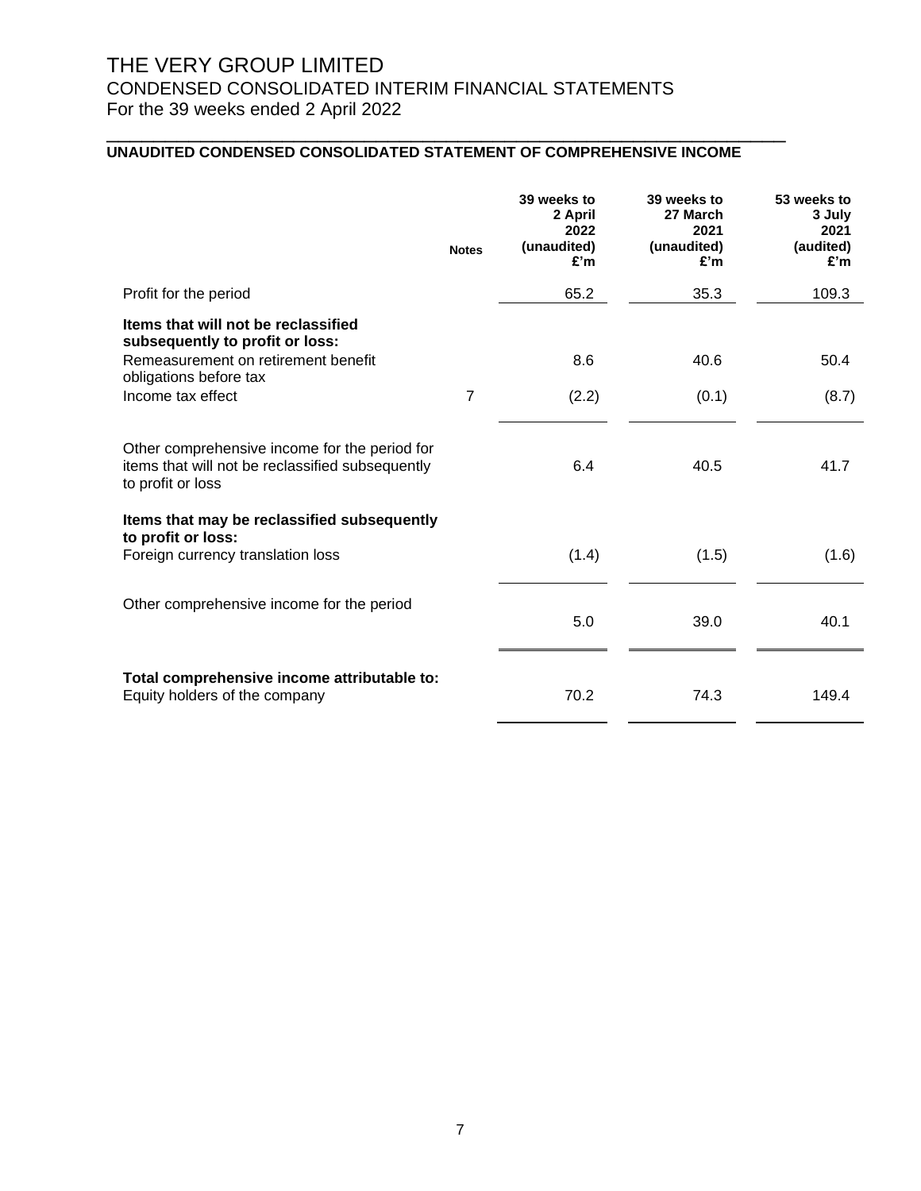## **UNAUDITED CONDENSED CONSOLIDATED STATEMENT OF COMPREHENSIVE INCOME**

|                                                                                                                                                              | <b>Notes</b>   | 39 weeks to<br>2 April<br>2022<br>(unaudited)<br>£'m | 39 weeks to<br>27 March<br>2021<br>(unaudited)<br>£'m | 53 weeks to<br>3 July<br>2021<br>(audited)<br>£'m |
|--------------------------------------------------------------------------------------------------------------------------------------------------------------|----------------|------------------------------------------------------|-------------------------------------------------------|---------------------------------------------------|
| Profit for the period                                                                                                                                        |                | 65.2                                                 | 35.3                                                  | 109.3                                             |
| Items that will not be reclassified<br>subsequently to profit or loss:<br>Remeasurement on retirement benefit<br>obligations before tax<br>Income tax effect | $\overline{7}$ | 8.6<br>(2.2)                                         | 40.6<br>(0.1)                                         | 50.4<br>(8.7)                                     |
|                                                                                                                                                              |                |                                                      |                                                       |                                                   |
| Other comprehensive income for the period for<br>items that will not be reclassified subsequently<br>to profit or loss                                       |                | 6.4                                                  | 40.5                                                  | 41.7                                              |
| Items that may be reclassified subsequently                                                                                                                  |                |                                                      |                                                       |                                                   |
| to profit or loss:<br>Foreign currency translation loss                                                                                                      |                | (1.4)                                                | (1.5)                                                 | (1.6)                                             |
| Other comprehensive income for the period                                                                                                                    |                | 5.0                                                  | 39.0                                                  | 40.1                                              |
| Total comprehensive income attributable to:<br>Equity holders of the company                                                                                 |                | 70.2                                                 | 74.3                                                  | 149.4                                             |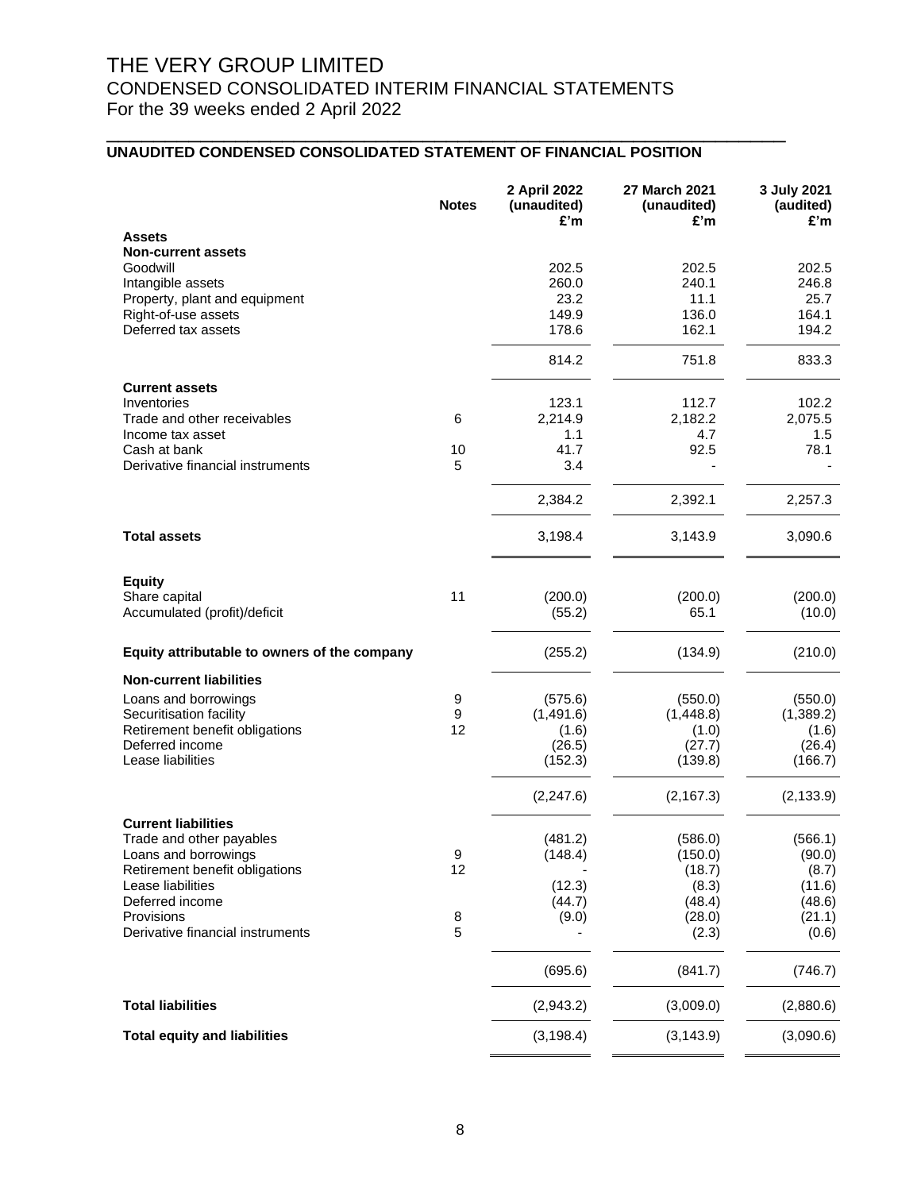## **UNAUDITED CONDENSED CONSOLIDATED STATEMENT OF FINANCIAL POSITION**

|                                              | <b>Notes</b> | 2 April 2022<br>(unaudited)<br>£'m | 27 March 2021<br>(unaudited)<br>£'m | 3 July 2021<br>(audited)<br>£'m |
|----------------------------------------------|--------------|------------------------------------|-------------------------------------|---------------------------------|
| <b>Assets</b>                                |              |                                    |                                     |                                 |
| <b>Non-current assets</b>                    |              |                                    |                                     |                                 |
| Goodwill                                     |              | 202.5                              | 202.5                               | 202.5                           |
| Intangible assets                            |              | 260.0                              | 240.1                               | 246.8                           |
| Property, plant and equipment                |              | 23.2                               | 11.1                                | 25.7                            |
| Right-of-use assets<br>Deferred tax assets   |              | 149.9<br>178.6                     | 136.0<br>162.1                      | 164.1<br>194.2                  |
|                                              |              |                                    |                                     |                                 |
|                                              |              | 814.2                              | 751.8                               | 833.3                           |
| <b>Current assets</b>                        |              |                                    |                                     |                                 |
| Inventories                                  |              | 123.1                              | 112.7                               | 102.2                           |
| Trade and other receivables                  | 6            | 2,214.9                            | 2,182.2                             | 2,075.5                         |
| Income tax asset                             |              | 1.1                                | 4.7                                 | 1.5                             |
| Cash at bank                                 | 10           | 41.7                               | 92.5                                | 78.1                            |
| Derivative financial instruments             | 5            | 3.4                                |                                     |                                 |
|                                              |              | 2,384.2                            | 2,392.1                             | 2,257.3                         |
| <b>Total assets</b>                          |              | 3,198.4                            | 3,143.9                             | 3,090.6                         |
| <b>Equity</b>                                |              |                                    |                                     |                                 |
| Share capital                                | 11           | (200.0)                            | (200.0)                             | (200.0)                         |
| Accumulated (profit)/deficit                 |              | (55.2)                             | 65.1                                | (10.0)                          |
|                                              |              |                                    |                                     |                                 |
| Equity attributable to owners of the company |              | (255.2)                            | (134.9)                             | (210.0)                         |
| <b>Non-current liabilities</b>               |              |                                    |                                     |                                 |
| Loans and borrowings                         | 9            | (575.6)                            | (550.0)                             | (550.0)                         |
| Securitisation facility                      | 9            | (1,491.6)                          | (1,448.8)                           | (1,389.2)                       |
| Retirement benefit obligations               | 12           | (1.6)                              | (1.0)                               | (1.6)                           |
| Deferred income                              |              | (26.5)                             | (27.7)                              | (26.4)                          |
| Lease liabilities                            |              | (152.3)                            | (139.8)                             | (166.7)                         |
|                                              |              | (2, 247.6)                         | (2, 167.3)                          | (2, 133.9)                      |
| <b>Current liabilities</b>                   |              |                                    |                                     |                                 |
| Trade and other payables                     |              | (481.2)                            | (586.0)                             | (566.1)                         |
| Loans and borrowings                         | 9            | (148.4)                            | (150.0)                             | (90.0)                          |
| Retirement benefit obligations               | 12           |                                    | (18.7)                              | (8.7)                           |
| Lease liabilities                            |              | (12.3)                             | (8.3)                               | (11.6)                          |
| Deferred income                              |              | (44.7)                             | (48.4)                              | (48.6)                          |
| Provisions                                   | 8            | (9.0)                              | (28.0)                              | (21.1)                          |
| Derivative financial instruments             | 5            |                                    | (2.3)                               | (0.6)                           |
|                                              |              | (695.6)                            | (841.7)                             | (746.7)                         |
| <b>Total liabilities</b>                     |              | (2,943.2)                          | (3,009.0)                           | (2,880.6)                       |
| <b>Total equity and liabilities</b>          |              | (3, 198.4)                         | (3, 143.9)                          | (3,090.6)                       |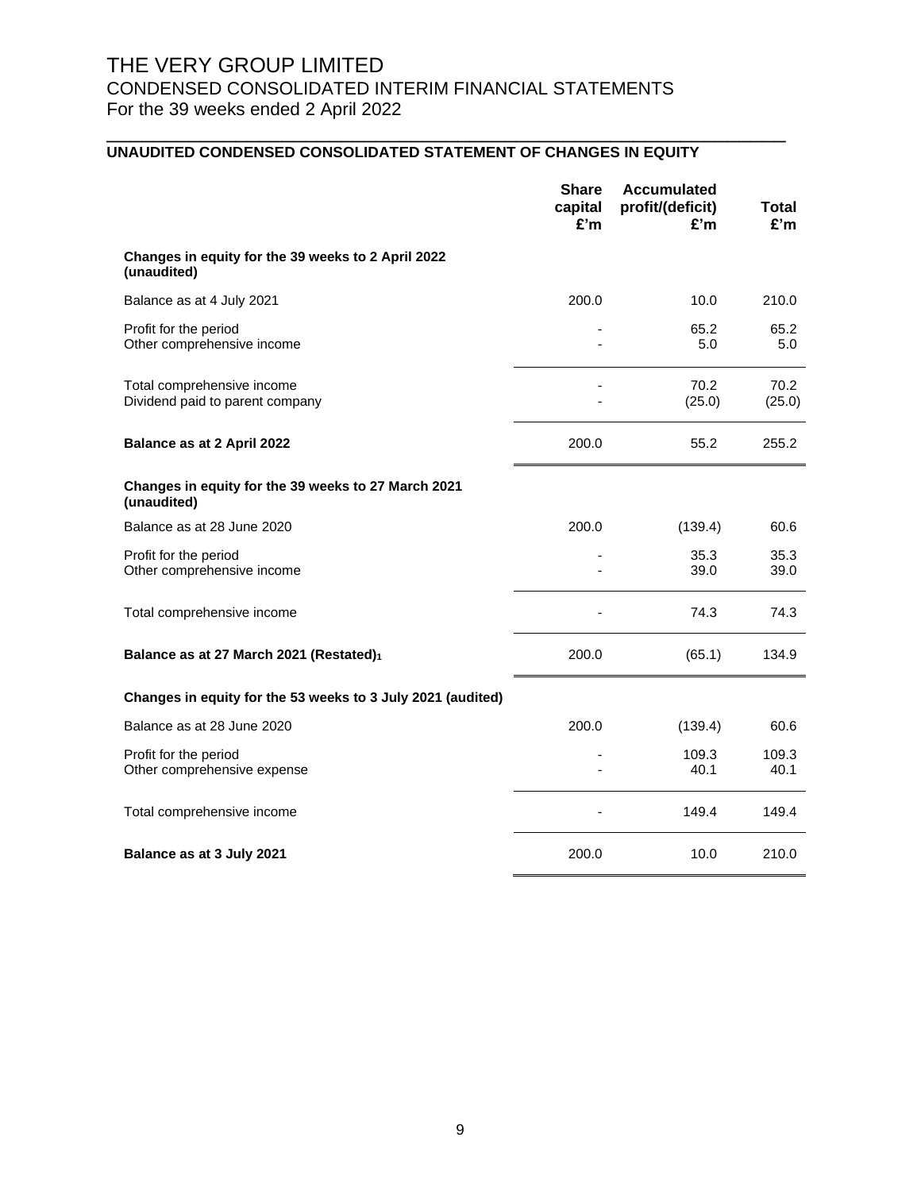## **UNAUDITED CONDENSED CONSOLIDATED STATEMENT OF CHANGES IN EQUITY**

|                                                                    | <b>Share</b><br>capital<br>£'m | <b>Accumulated</b><br>profit/(deficit)<br>£'m | Total<br>£'m   |
|--------------------------------------------------------------------|--------------------------------|-----------------------------------------------|----------------|
| Changes in equity for the 39 weeks to 2 April 2022<br>(unaudited)  |                                |                                               |                |
| Balance as at 4 July 2021                                          | 200.0                          | 10.0                                          | 210.0          |
| Profit for the period<br>Other comprehensive income                |                                | 65.2<br>5.0                                   | 65.2<br>5.0    |
| Total comprehensive income<br>Dividend paid to parent company      |                                | 70.2<br>(25.0)                                | 70.2<br>(25.0) |
| Balance as at 2 April 2022                                         | 200.0                          | 55.2                                          | 255.2          |
| Changes in equity for the 39 weeks to 27 March 2021<br>(unaudited) |                                |                                               |                |
| Balance as at 28 June 2020                                         | 200.0                          | (139.4)                                       | 60.6           |
| Profit for the period<br>Other comprehensive income                |                                | 35.3<br>39.0                                  | 35.3<br>39.0   |
| Total comprehensive income                                         |                                | 74.3                                          | 74.3           |
| Balance as at 27 March 2021 (Restated)1                            | 200.0                          | (65.1)                                        | 134.9          |
| Changes in equity for the 53 weeks to 3 July 2021 (audited)        |                                |                                               |                |
| Balance as at 28 June 2020                                         | 200.0                          | (139.4)                                       | 60.6           |
| Profit for the period<br>Other comprehensive expense               |                                | 109.3<br>40.1                                 | 109.3<br>40.1  |
| Total comprehensive income                                         |                                | 149.4                                         | 149.4          |
| Balance as at 3 July 2021                                          | 200.0                          | 10.0                                          | 210.0          |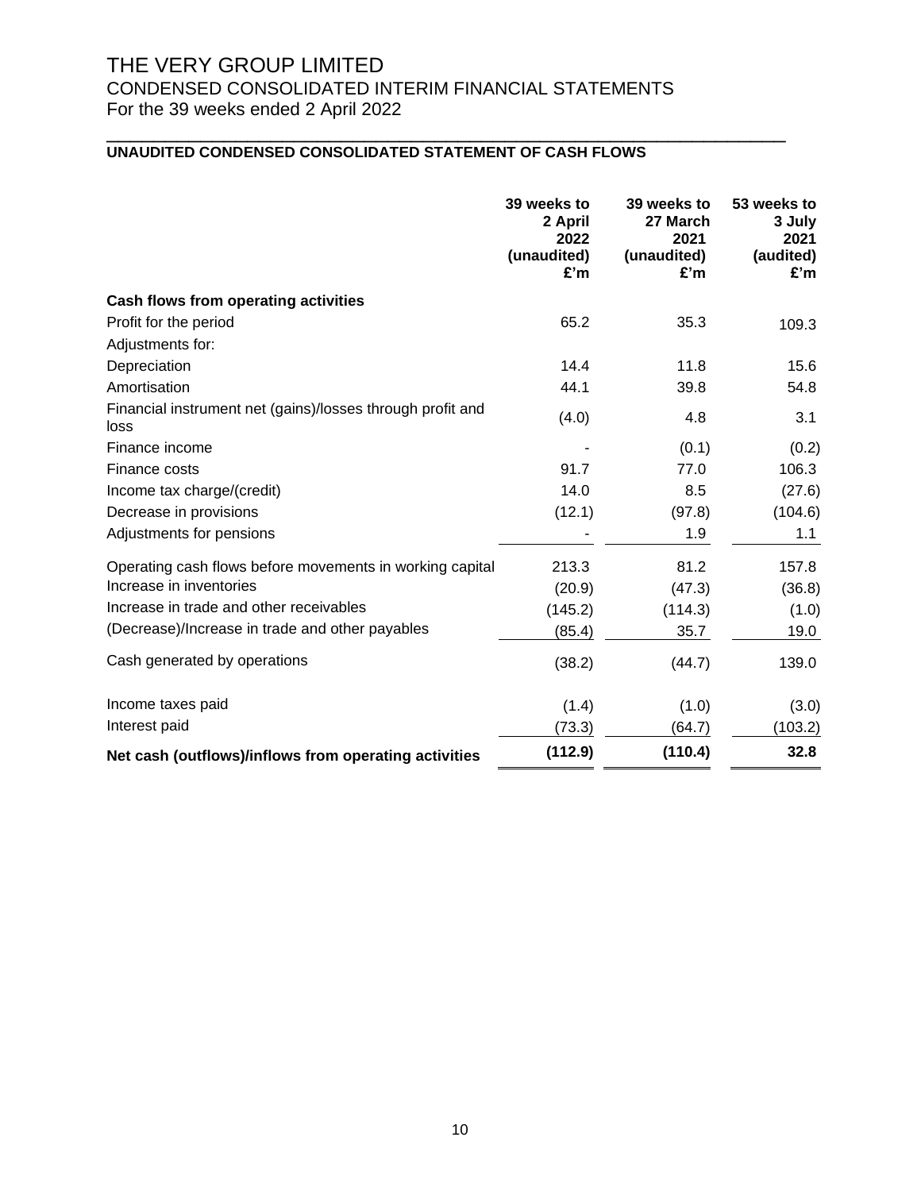# THE VERY GROUP LIMITED

# CONDENSED CONSOLIDATED INTERIM FINANCIAL STATEMENTS For the 39 weeks ended 2 April 2022

## \_\_\_\_\_\_\_\_\_\_\_\_\_\_\_\_\_\_\_\_\_\_\_\_\_\_\_\_\_\_\_\_\_\_\_\_\_\_\_\_\_\_\_\_\_\_\_\_\_\_\_\_\_\_\_\_\_\_ **UNAUDITED CONDENSED CONSOLIDATED STATEMENT OF CASH FLOWS**

|                                                                    | 39 weeks to<br>2 April<br>2022<br>(unaudited)<br>£'m | 39 weeks to<br>27 March<br>2021<br>(unaudited)<br>£'m | 53 weeks to<br>3 July<br>2021<br>(audited)<br>£'m |
|--------------------------------------------------------------------|------------------------------------------------------|-------------------------------------------------------|---------------------------------------------------|
| Cash flows from operating activities                               |                                                      |                                                       |                                                   |
| Profit for the period                                              | 65.2                                                 | 35.3                                                  | 109.3                                             |
| Adjustments for:                                                   |                                                      |                                                       |                                                   |
| Depreciation                                                       | 14.4                                                 | 11.8                                                  | 15.6                                              |
| Amortisation                                                       | 44.1                                                 | 39.8                                                  | 54.8                                              |
| Financial instrument net (gains)/losses through profit and<br>loss | (4.0)                                                | 4.8                                                   | 3.1                                               |
| Finance income                                                     |                                                      | (0.1)                                                 | (0.2)                                             |
| Finance costs                                                      | 91.7                                                 | 77.0                                                  | 106.3                                             |
| Income tax charge/(credit)                                         | 14.0                                                 | 8.5                                                   | (27.6)                                            |
| Decrease in provisions                                             | (12.1)                                               | (97.8)                                                | (104.6)                                           |
| Adjustments for pensions                                           |                                                      | 1.9                                                   | 1.1                                               |
| Operating cash flows before movements in working capital           | 213.3                                                | 81.2                                                  | 157.8                                             |
| Increase in inventories                                            | (20.9)                                               | (47.3)                                                | (36.8)                                            |
| Increase in trade and other receivables                            | (145.2)                                              | (114.3)                                               | (1.0)                                             |
| (Decrease)/Increase in trade and other payables                    | (85.4)                                               | 35.7                                                  | 19.0                                              |
| Cash generated by operations                                       | (38.2)                                               | (44.7)                                                | 139.0                                             |
| Income taxes paid                                                  | (1.4)                                                | (1.0)                                                 | (3.0)                                             |
| Interest paid                                                      | (73.3)                                               | (64.7)                                                | (103.2)                                           |
| Net cash (outflows)/inflows from operating activities              | (112.9)                                              | (110.4)                                               | 32.8                                              |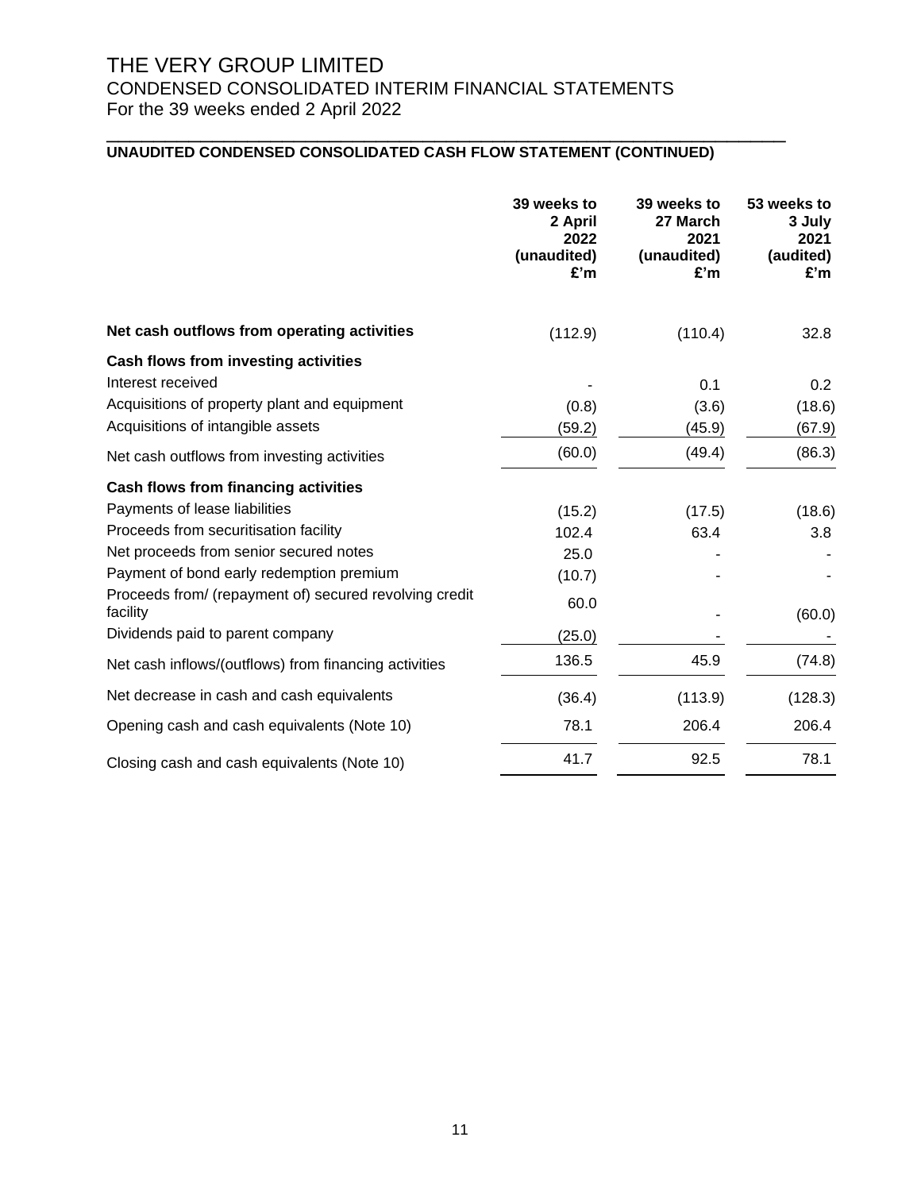## **UNAUDITED CONDENSED CONSOLIDATED CASH FLOW STATEMENT (CONTINUED)**

|                                                                    | 39 weeks to<br>2 April<br>2022<br>(unaudited)<br>£'m | 39 weeks to<br>27 March<br>2021<br>(unaudited)<br>£'m | 53 weeks to<br>3 July<br>2021<br>(audited)<br>£'m |
|--------------------------------------------------------------------|------------------------------------------------------|-------------------------------------------------------|---------------------------------------------------|
| Net cash outflows from operating activities                        | (112.9)                                              | (110.4)                                               | 32.8                                              |
| Cash flows from investing activities                               |                                                      |                                                       |                                                   |
| Interest received                                                  |                                                      | 0.1                                                   | 0.2                                               |
| Acquisitions of property plant and equipment                       | (0.8)                                                | (3.6)                                                 | (18.6)                                            |
| Acquisitions of intangible assets                                  | (59.2)                                               | (45.9)                                                | (67.9)                                            |
| Net cash outflows from investing activities                        | (60.0)                                               | (49.4)                                                | (86.3)                                            |
| Cash flows from financing activities                               |                                                      |                                                       |                                                   |
| Payments of lease liabilities                                      | (15.2)                                               | (17.5)                                                | (18.6)                                            |
| Proceeds from securitisation facility                              | 102.4                                                | 63.4                                                  | 3.8                                               |
| Net proceeds from senior secured notes                             | 25.0                                                 |                                                       |                                                   |
| Payment of bond early redemption premium                           | (10.7)                                               |                                                       |                                                   |
| Proceeds from/ (repayment of) secured revolving credit<br>facility | 60.0                                                 |                                                       | (60.0)                                            |
| Dividends paid to parent company                                   | (25.0)                                               |                                                       |                                                   |
| Net cash inflows/(outflows) from financing activities              | 136.5                                                | 45.9                                                  | (74.8)                                            |
| Net decrease in cash and cash equivalents                          | (36.4)                                               | (113.9)                                               | (128.3)                                           |
| Opening cash and cash equivalents (Note 10)                        | 78.1                                                 | 206.4                                                 | 206.4                                             |
| Closing cash and cash equivalents (Note 10)                        | 41.7                                                 | 92.5                                                  | 78.1                                              |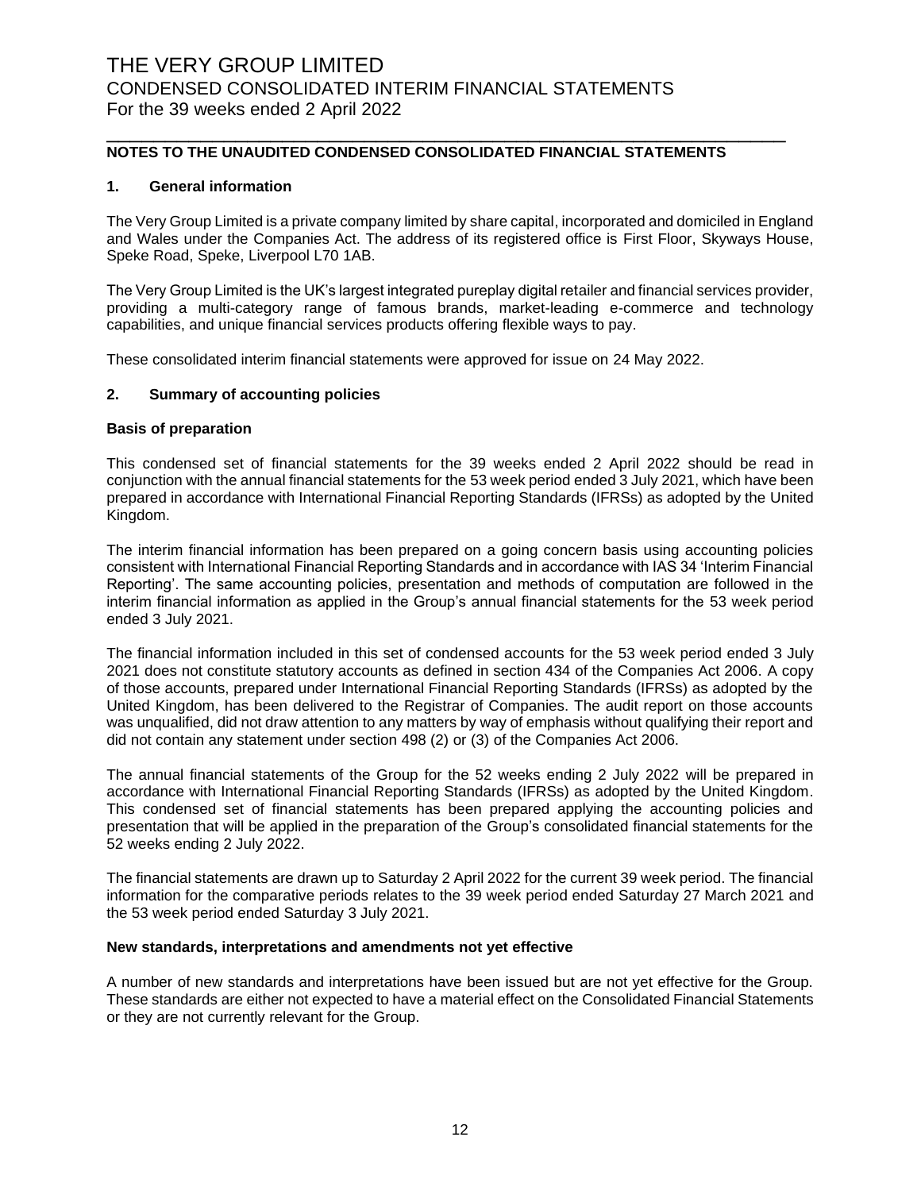### **NOTES TO THE UNAUDITED CONDENSED CONSOLIDATED FINANCIAL STATEMENTS**

\_\_\_\_\_\_\_\_\_\_\_\_\_\_\_\_\_\_\_\_\_\_\_\_\_\_\_\_\_\_\_\_\_\_\_\_\_\_\_\_\_\_\_\_\_\_\_\_\_\_\_\_\_\_\_\_\_\_

#### **1. General information**

The Very Group Limited is a private company limited by share capital, incorporated and domiciled in England and Wales under the Companies Act. The address of its registered office is First Floor, Skyways House, Speke Road, Speke, Liverpool L70 1AB.

The Very Group Limited is the UK's largest integrated pureplay digital retailer and financial services provider, providing a multi-category range of famous brands, market-leading e-commerce and technology capabilities, and unique financial services products offering flexible ways to pay.

These consolidated interim financial statements were approved for issue on 24 May 2022.

#### **2. Summary of accounting policies**

#### **Basis of preparation**

This condensed set of financial statements for the 39 weeks ended 2 April 2022 should be read in conjunction with the annual financial statements for the 53 week period ended 3 July 2021, which have been prepared in accordance with International Financial Reporting Standards (IFRSs) as adopted by the United Kingdom.

The interim financial information has been prepared on a going concern basis using accounting policies consistent with International Financial Reporting Standards and in accordance with IAS 34 'Interim Financial Reporting'. The same accounting policies, presentation and methods of computation are followed in the interim financial information as applied in the Group's annual financial statements for the 53 week period ended 3 July 2021.

The financial information included in this set of condensed accounts for the 53 week period ended 3 July 2021 does not constitute statutory accounts as defined in section 434 of the Companies Act 2006. A copy of those accounts, prepared under International Financial Reporting Standards (IFRSs) as adopted by the United Kingdom, has been delivered to the Registrar of Companies. The audit report on those accounts was unqualified, did not draw attention to any matters by way of emphasis without qualifying their report and did not contain any statement under section 498 (2) or (3) of the Companies Act 2006.

The annual financial statements of the Group for the 52 weeks ending 2 July 2022 will be prepared in accordance with International Financial Reporting Standards (IFRSs) as adopted by the United Kingdom. This condensed set of financial statements has been prepared applying the accounting policies and presentation that will be applied in the preparation of the Group's consolidated financial statements for the 52 weeks ending 2 July 2022.

The financial statements are drawn up to Saturday 2 April 2022 for the current 39 week period. The financial information for the comparative periods relates to the 39 week period ended Saturday 27 March 2021 and the 53 week period ended Saturday 3 July 2021.

#### **New standards, interpretations and amendments not yet effective**

A number of new standards and interpretations have been issued but are not yet effective for the Group. These standards are either not expected to have a material effect on the Consolidated Financial Statements or they are not currently relevant for the Group.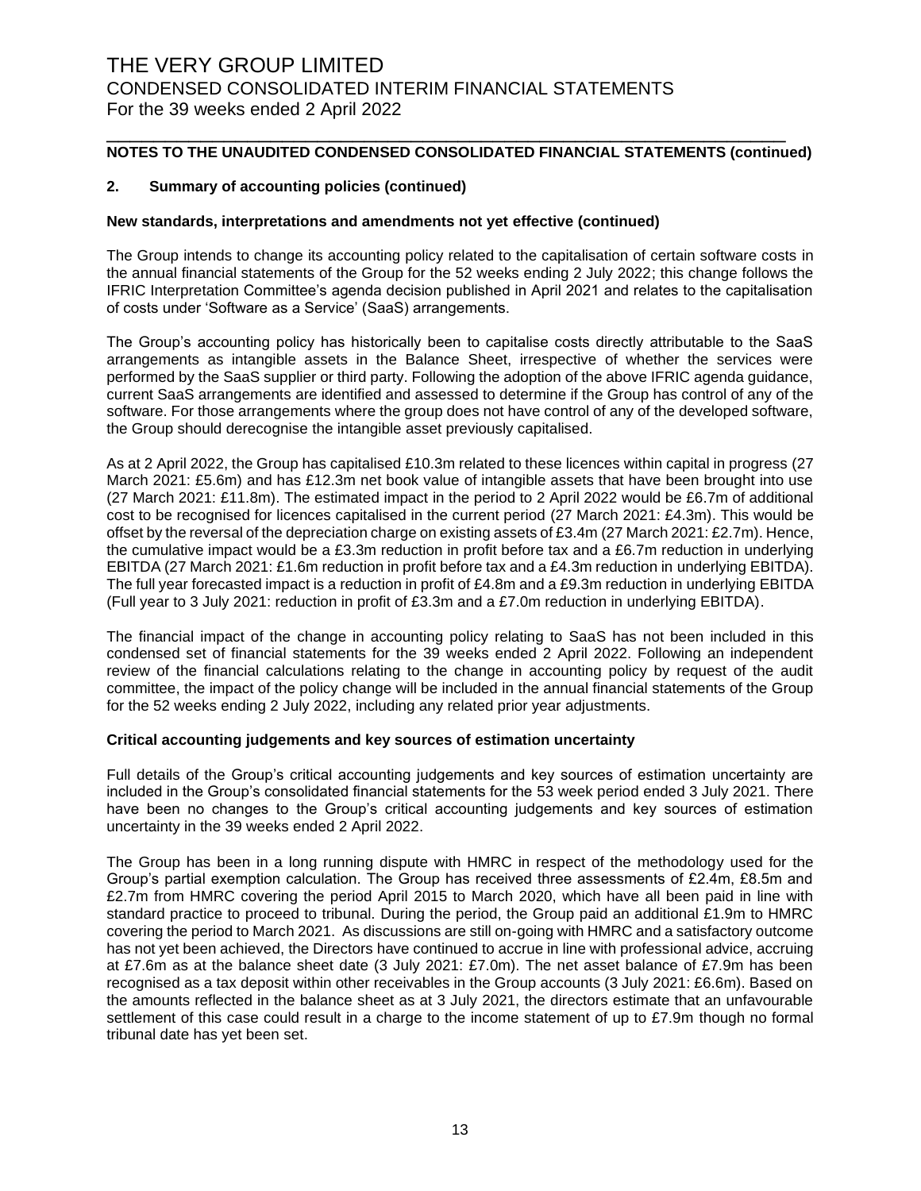## **NOTES TO THE UNAUDITED CONDENSED CONSOLIDATED FINANCIAL STATEMENTS (continued)**

\_\_\_\_\_\_\_\_\_\_\_\_\_\_\_\_\_\_\_\_\_\_\_\_\_\_\_\_\_\_\_\_\_\_\_\_\_\_\_\_\_\_\_\_\_\_\_\_\_\_\_\_\_\_\_\_\_\_

### **2. Summary of accounting policies (continued)**

#### **New standards, interpretations and amendments not yet effective (continued)**

The Group intends to change its accounting policy related to the capitalisation of certain software costs in the annual financial statements of the Group for the 52 weeks ending 2 July 2022; this change follows the IFRIC Interpretation Committee's agenda decision published in April 2021 and relates to the capitalisation of costs under 'Software as a Service' (SaaS) arrangements.

The Group's accounting policy has historically been to capitalise costs directly attributable to the SaaS arrangements as intangible assets in the Balance Sheet, irrespective of whether the services were performed by the SaaS supplier or third party. Following the adoption of the above IFRIC agenda guidance, current SaaS arrangements are identified and assessed to determine if the Group has control of any of the software. For those arrangements where the group does not have control of any of the developed software, the Group should derecognise the intangible asset previously capitalised.

As at 2 April 2022, the Group has capitalised £10.3m related to these licences within capital in progress (27 March 2021: £5.6m) and has £12.3m net book value of intangible assets that have been brought into use (27 March 2021: £11.8m). The estimated impact in the period to 2 April 2022 would be £6.7m of additional cost to be recognised for licences capitalised in the current period (27 March 2021: £4.3m). This would be offset by the reversal of the depreciation charge on existing assets of £3.4m (27 March 2021: £2.7m). Hence, the cumulative impact would be a £3.3m reduction in profit before tax and a £6.7m reduction in underlying EBITDA (27 March 2021: £1.6m reduction in profit before tax and a £4.3m reduction in underlying EBITDA). The full year forecasted impact is a reduction in profit of £4.8m and a £9.3m reduction in underlying EBITDA (Full year to 3 July 2021: reduction in profit of £3.3m and a £7.0m reduction in underlying EBITDA).

The financial impact of the change in accounting policy relating to SaaS has not been included in this condensed set of financial statements for the 39 weeks ended 2 April 2022. Following an independent review of the financial calculations relating to the change in accounting policy by request of the audit committee, the impact of the policy change will be included in the annual financial statements of the Group for the 52 weeks ending 2 July 2022, including any related prior year adjustments.

#### **Critical accounting judgements and key sources of estimation uncertainty**

Full details of the Group's critical accounting judgements and key sources of estimation uncertainty are included in the Group's consolidated financial statements for the 53 week period ended 3 July 2021. There have been no changes to the Group's critical accounting judgements and key sources of estimation uncertainty in the 39 weeks ended 2 April 2022.

The Group has been in a long running dispute with HMRC in respect of the methodology used for the Group's partial exemption calculation. The Group has received three assessments of £2.4m, £8.5m and £2.7m from HMRC covering the period April 2015 to March 2020, which have all been paid in line with standard practice to proceed to tribunal. During the period, the Group paid an additional £1.9m to HMRC covering the period to March 2021. As discussions are still on-going with HMRC and a satisfactory outcome has not yet been achieved, the Directors have continued to accrue in line with professional advice, accruing at £7.6m as at the balance sheet date (3 July 2021: £7.0m). The net asset balance of £7.9m has been recognised as a tax deposit within other receivables in the Group accounts (3 July 2021: £6.6m). Based on the amounts reflected in the balance sheet as at 3 July 2021, the directors estimate that an unfavourable settlement of this case could result in a charge to the income statement of up to £7.9m though no formal tribunal date has yet been set.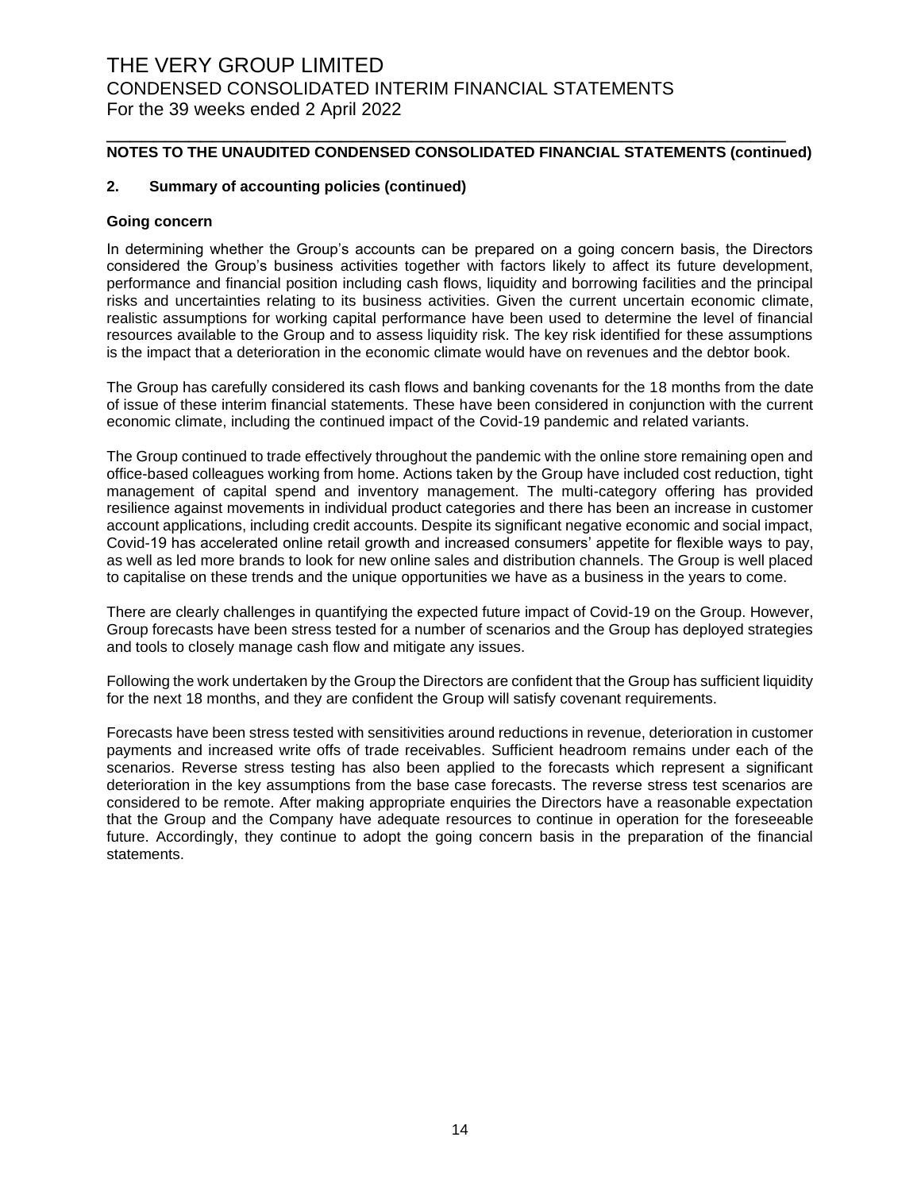### **NOTES TO THE UNAUDITED CONDENSED CONSOLIDATED FINANCIAL STATEMENTS (continued)**

\_\_\_\_\_\_\_\_\_\_\_\_\_\_\_\_\_\_\_\_\_\_\_\_\_\_\_\_\_\_\_\_\_\_\_\_\_\_\_\_\_\_\_\_\_\_\_\_\_\_\_\_\_\_\_\_\_\_

### **2. Summary of accounting policies (continued)**

#### **Going concern**

In determining whether the Group's accounts can be prepared on a going concern basis, the Directors considered the Group's business activities together with factors likely to affect its future development, performance and financial position including cash flows, liquidity and borrowing facilities and the principal risks and uncertainties relating to its business activities. Given the current uncertain economic climate, realistic assumptions for working capital performance have been used to determine the level of financial resources available to the Group and to assess liquidity risk. The key risk identified for these assumptions is the impact that a deterioration in the economic climate would have on revenues and the debtor book.

The Group has carefully considered its cash flows and banking covenants for the 18 months from the date of issue of these interim financial statements. These have been considered in conjunction with the current economic climate, including the continued impact of the Covid-19 pandemic and related variants.

The Group continued to trade effectively throughout the pandemic with the online store remaining open and office-based colleagues working from home. Actions taken by the Group have included cost reduction, tight management of capital spend and inventory management. The multi-category offering has provided resilience against movements in individual product categories and there has been an increase in customer account applications, including credit accounts. Despite its significant negative economic and social impact, Covid-19 has accelerated online retail growth and increased consumers' appetite for flexible ways to pay, as well as led more brands to look for new online sales and distribution channels. The Group is well placed to capitalise on these trends and the unique opportunities we have as a business in the years to come.

There are clearly challenges in quantifying the expected future impact of Covid-19 on the Group. However, Group forecasts have been stress tested for a number of scenarios and the Group has deployed strategies and tools to closely manage cash flow and mitigate any issues.

Following the work undertaken by the Group the Directors are confident that the Group has sufficient liquidity for the next 18 months, and they are confident the Group will satisfy covenant requirements.

Forecasts have been stress tested with sensitivities around reductions in revenue, deterioration in customer payments and increased write offs of trade receivables. Sufficient headroom remains under each of the scenarios. Reverse stress testing has also been applied to the forecasts which represent a significant deterioration in the key assumptions from the base case forecasts. The reverse stress test scenarios are considered to be remote. After making appropriate enquiries the Directors have a reasonable expectation that the Group and the Company have adequate resources to continue in operation for the foreseeable future. Accordingly, they continue to adopt the going concern basis in the preparation of the financial statements.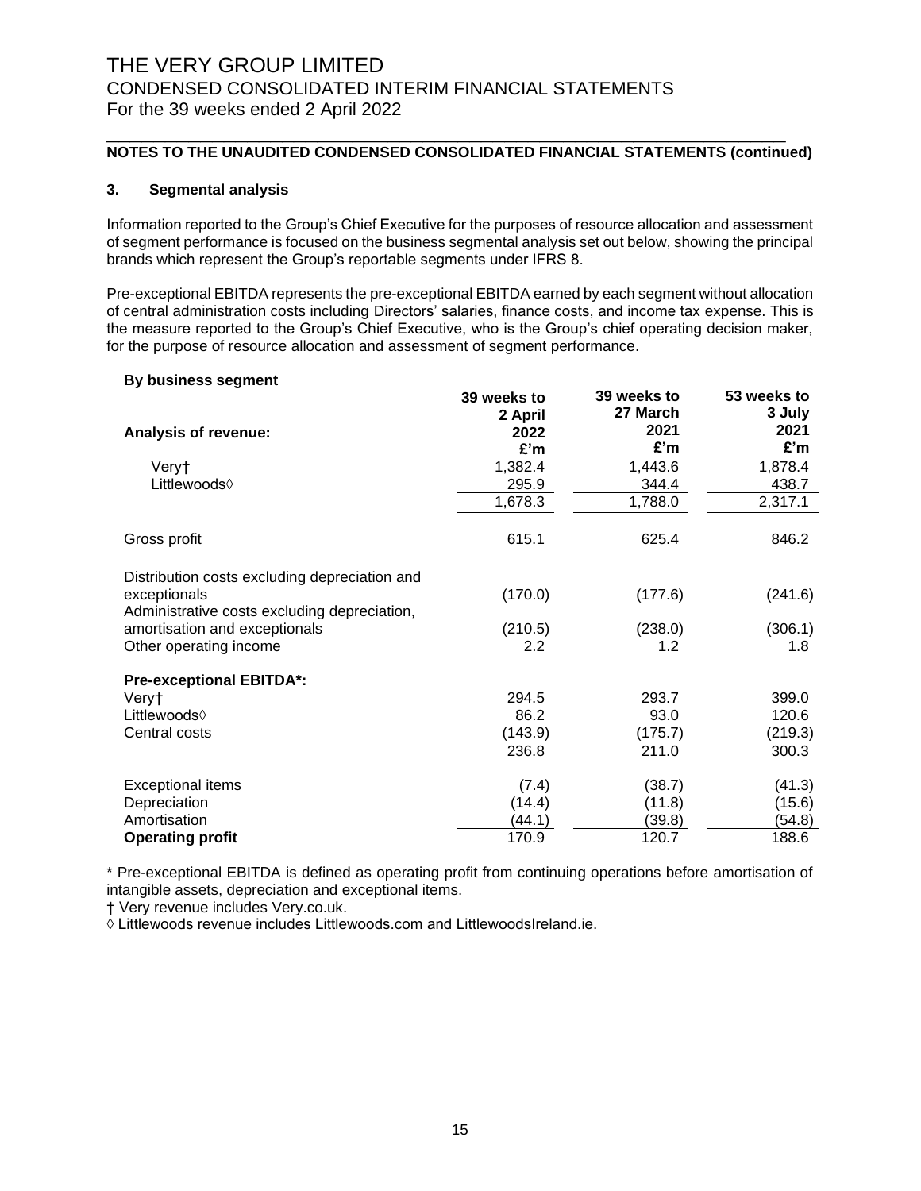## **NOTES TO THE UNAUDITED CONDENSED CONSOLIDATED FINANCIAL STATEMENTS (continued)**

\_\_\_\_\_\_\_\_\_\_\_\_\_\_\_\_\_\_\_\_\_\_\_\_\_\_\_\_\_\_\_\_\_\_\_\_\_\_\_\_\_\_\_\_\_\_\_\_\_\_\_\_\_\_\_\_\_\_

### **3. Segmental analysis**

Information reported to the Group's Chief Executive for the purposes of resource allocation and assessment of segment performance is focused on the business segmental analysis set out below, showing the principal brands which represent the Group's reportable segments under IFRS 8.

Pre-exceptional EBITDA represents the pre-exceptional EBITDA earned by each segment without allocation of central administration costs including Directors' salaries, finance costs, and income tax expense. This is the measure reported to the Group's Chief Executive, who is the Group's chief operating decision maker, for the purpose of resource allocation and assessment of segment performance.

#### **By business segment**

|                                               | 39 weeks to     | 39 weeks to<br>27 March | 53 weeks to<br>3 July |
|-----------------------------------------------|-----------------|-------------------------|-----------------------|
| Analysis of revenue:                          | 2 April<br>2022 | 2021                    | 2021                  |
|                                               | £'m             | £'m                     | £'m                   |
| Veryt                                         | 1,382.4         | 1,443.6                 | 1,878.4               |
| Littlewoods◊                                  | 295.9           | 344.4                   | 438.7                 |
|                                               | 1,678.3         | 1,788.0                 | 2,317.1               |
| Gross profit                                  | 615.1           | 625.4                   | 846.2                 |
| Distribution costs excluding depreciation and |                 |                         |                       |
| exceptionals                                  | (170.0)         | (177.6)                 | (241.6)               |
| Administrative costs excluding depreciation,  |                 |                         |                       |
| amortisation and exceptionals                 | (210.5)         | (238.0)                 | (306.1)               |
| Other operating income                        | 2.2             | 1.2                     | 1.8                   |
| <b>Pre-exceptional EBITDA*:</b>               |                 |                         |                       |
| Very†                                         | 294.5           | 293.7                   | 399.0                 |
| Littlewoods $\Diamond$                        | 86.2            | 93.0                    | 120.6                 |
| Central costs                                 | (143.9)         | (175.7)                 | (219.3)               |
|                                               | 236.8           | 211.0                   | 300.3                 |
| <b>Exceptional items</b>                      | (7.4)           | (38.7)                  | (41.3)                |
| Depreciation                                  | (14.4)          | (11.8)                  | (15.6)                |
| Amortisation                                  | (44.1)          | (39.8)                  | (54.8)                |
| <b>Operating profit</b>                       | 170.9           | 120.7                   | 188.6                 |

\* Pre-exceptional EBITDA is defined as operating profit from continuing operations before amortisation of intangible assets, depreciation and exceptional items.

† Very revenue includes Very.co.uk.

◊ Littlewoods revenue includes Littlewoods.com and LittlewoodsIreland.ie.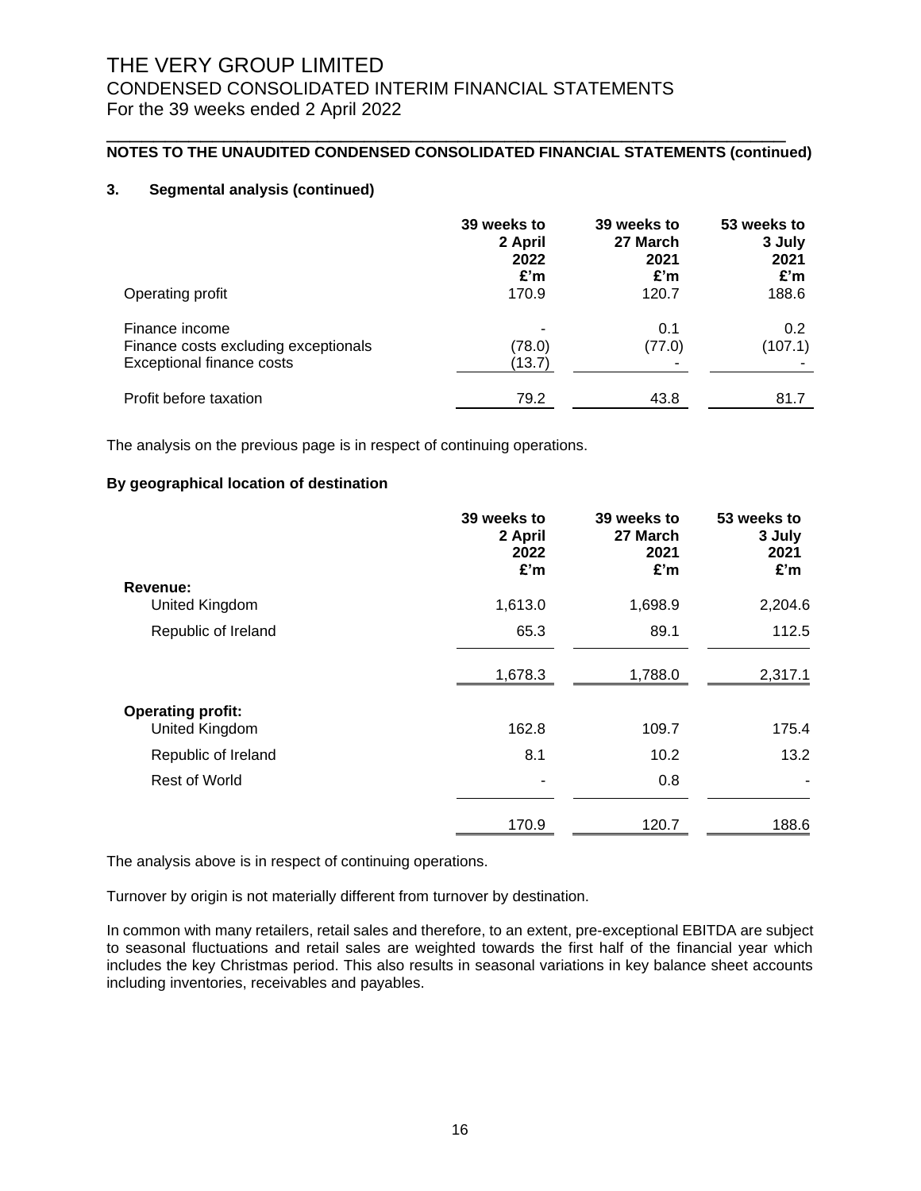### **NOTES TO THE UNAUDITED CONDENSED CONSOLIDATED FINANCIAL STATEMENTS (continued)**

\_\_\_\_\_\_\_\_\_\_\_\_\_\_\_\_\_\_\_\_\_\_\_\_\_\_\_\_\_\_\_\_\_\_\_\_\_\_\_\_\_\_\_\_\_\_\_\_\_\_\_\_\_\_\_\_\_\_

### **3. Segmental analysis (continued)**

| Operating profit                                                                           | 39 weeks to<br>2 April<br>2022<br>£'m<br>170.9 | 39 weeks to<br>27 March<br>2021<br>£'m<br>120.7 | 53 weeks to<br>3 July<br>2021<br>£'m<br>188.6 |
|--------------------------------------------------------------------------------------------|------------------------------------------------|-------------------------------------------------|-----------------------------------------------|
| Finance income<br>Finance costs excluding exceptionals<br><b>Exceptional finance costs</b> | (78.0)<br>(13.7)                               | 0.1<br>(77.0)                                   | 0.2<br>(107.1)                                |
| Profit before taxation                                                                     | 79.2                                           | 43.8                                            | 81.7                                          |

The analysis on the previous page is in respect of continuing operations.

### **By geographical location of destination**

|                          | 39 weeks to<br>2 April<br>2022<br>£'m | 39 weeks to<br>27 March<br>2021<br>£'m | 53 weeks to<br>3 July<br>2021<br>£'m |
|--------------------------|---------------------------------------|----------------------------------------|--------------------------------------|
| Revenue:                 |                                       |                                        |                                      |
| United Kingdom           | 1,613.0                               | 1,698.9                                | 2,204.6                              |
| Republic of Ireland      | 65.3                                  | 89.1                                   | 112.5                                |
|                          | 1,678.3                               | 1,788.0                                | 2,317.1                              |
| <b>Operating profit:</b> |                                       |                                        |                                      |
| United Kingdom           | 162.8                                 | 109.7                                  | 175.4                                |
| Republic of Ireland      | 8.1                                   | 10.2                                   | 13.2                                 |
| Rest of World            |                                       | 0.8                                    |                                      |
|                          | 170.9                                 | 120.7                                  | 188.6                                |

The analysis above is in respect of continuing operations.

Turnover by origin is not materially different from turnover by destination.

In common with many retailers, retail sales and therefore, to an extent, pre-exceptional EBITDA are subject to seasonal fluctuations and retail sales are weighted towards the first half of the financial year which includes the key Christmas period. This also results in seasonal variations in key balance sheet accounts including inventories, receivables and payables.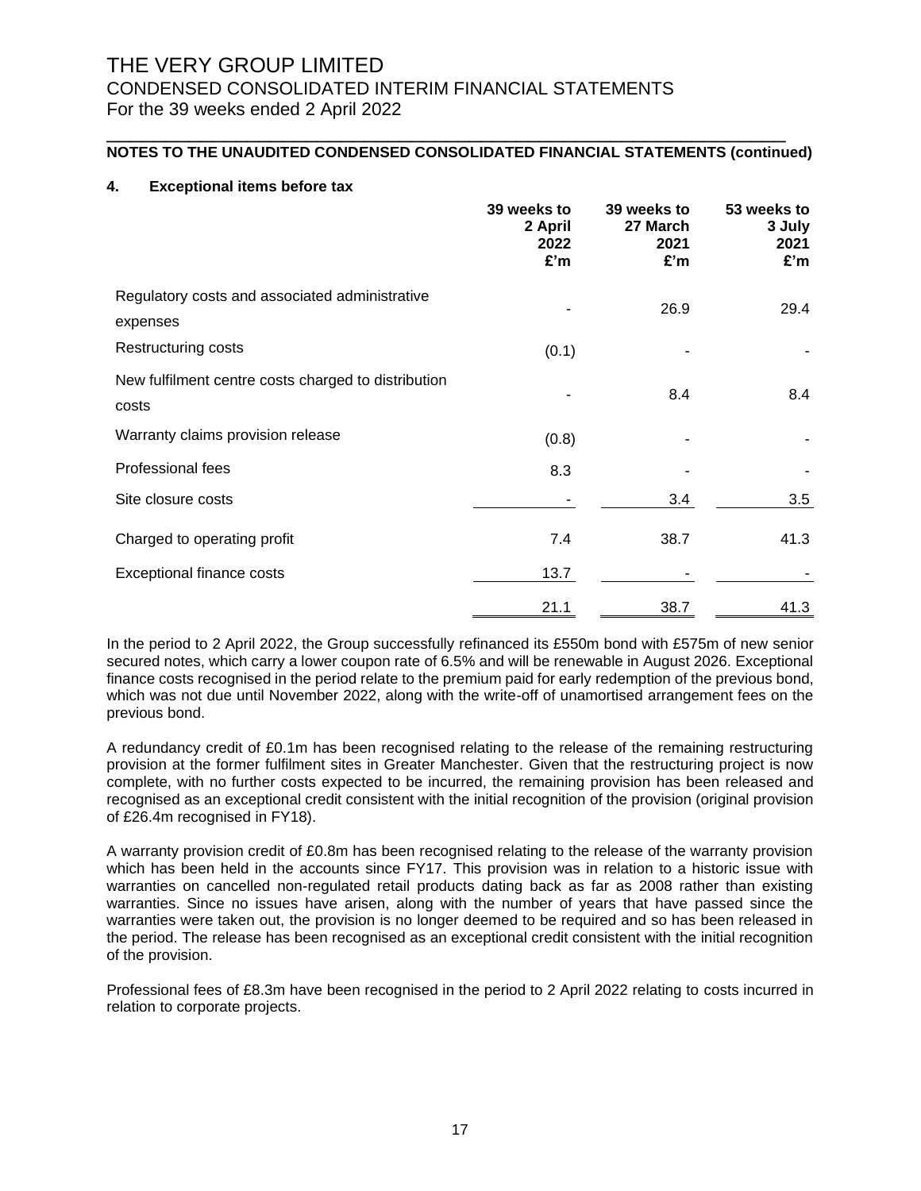### **NOTES TO THE UNAUDITED CONDENSED CONSOLIDATED FINANCIAL STATEMENTS (continued)**

\_\_\_\_\_\_\_\_\_\_\_\_\_\_\_\_\_\_\_\_\_\_\_\_\_\_\_\_\_\_\_\_\_\_\_\_\_\_\_\_\_\_\_\_\_\_\_\_\_\_\_\_\_\_\_\_\_\_

### **4. Exceptional items before tax**

|                                                              | 39 weeks to<br>2 April<br>2022<br>£'m | 39 weeks to<br>27 March<br>2021<br>£'m | 53 weeks to<br>3 July<br>2021<br>£'m |
|--------------------------------------------------------------|---------------------------------------|----------------------------------------|--------------------------------------|
| Regulatory costs and associated administrative<br>expenses   |                                       | 26.9                                   | 29.4                                 |
| Restructuring costs                                          | (0.1)                                 |                                        |                                      |
| New fulfilment centre costs charged to distribution<br>costs |                                       | 8.4                                    | 8.4                                  |
| Warranty claims provision release                            | (0.8)                                 |                                        |                                      |
| Professional fees                                            | 8.3                                   |                                        |                                      |
| Site closure costs                                           |                                       | 3.4                                    | 3.5                                  |
| Charged to operating profit                                  | 7.4                                   | 38.7                                   | 41.3                                 |
| <b>Exceptional finance costs</b>                             | 13.7                                  |                                        |                                      |
|                                                              | 21.1                                  | 38.7                                   | 41.3                                 |

In the period to 2 April 2022, the Group successfully refinanced its £550m bond with £575m of new senior secured notes, which carry a lower coupon rate of 6.5% and will be renewable in August 2026. Exceptional finance costs recognised in the period relate to the premium paid for early redemption of the previous bond, which was not due until November 2022, along with the write-off of unamortised arrangement fees on the previous bond.

A redundancy credit of £0.1m has been recognised relating to the release of the remaining restructuring provision at the former fulfilment sites in Greater Manchester. Given that the restructuring project is now complete, with no further costs expected to be incurred, the remaining provision has been released and recognised as an exceptional credit consistent with the initial recognition of the provision (original provision of £26.4m recognised in FY18).

A warranty provision credit of £0.8m has been recognised relating to the release of the warranty provision which has been held in the accounts since FY17. This provision was in relation to a historic issue with warranties on cancelled non-regulated retail products dating back as far as 2008 rather than existing warranties. Since no issues have arisen, along with the number of years that have passed since the warranties were taken out, the provision is no longer deemed to be required and so has been released in the period. The release has been recognised as an exceptional credit consistent with the initial recognition of the provision.

Professional fees of £8.3m have been recognised in the period to 2 April 2022 relating to costs incurred in relation to corporate projects.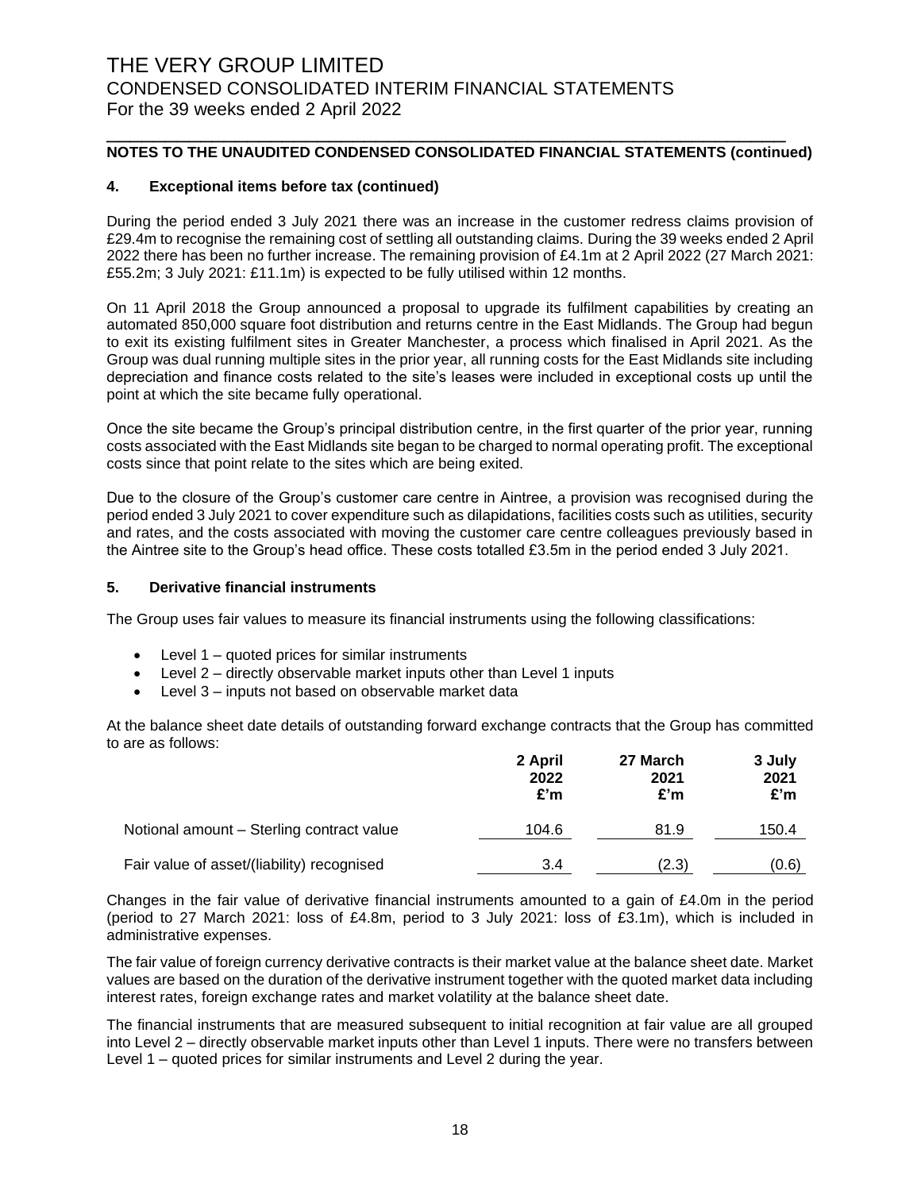### **NOTES TO THE UNAUDITED CONDENSED CONSOLIDATED FINANCIAL STATEMENTS (continued)**

\_\_\_\_\_\_\_\_\_\_\_\_\_\_\_\_\_\_\_\_\_\_\_\_\_\_\_\_\_\_\_\_\_\_\_\_\_\_\_\_\_\_\_\_\_\_\_\_\_\_\_\_\_\_\_\_\_\_

#### **4. Exceptional items before tax (continued)**

During the period ended 3 July 2021 there was an increase in the customer redress claims provision of £29.4m to recognise the remaining cost of settling all outstanding claims. During the 39 weeks ended 2 April 2022 there has been no further increase. The remaining provision of £4.1m at 2 April 2022 (27 March 2021: £55.2m; 3 July 2021: £11.1m) is expected to be fully utilised within 12 months.

On 11 April 2018 the Group announced a proposal to upgrade its fulfilment capabilities by creating an automated 850,000 square foot distribution and returns centre in the East Midlands. The Group had begun to exit its existing fulfilment sites in Greater Manchester, a process which finalised in April 2021. As the Group was dual running multiple sites in the prior year, all running costs for the East Midlands site including depreciation and finance costs related to the site's leases were included in exceptional costs up until the point at which the site became fully operational.

Once the site became the Group's principal distribution centre, in the first quarter of the prior year, running costs associated with the East Midlands site began to be charged to normal operating profit. The exceptional costs since that point relate to the sites which are being exited.

Due to the closure of the Group's customer care centre in Aintree, a provision was recognised during the period ended 3 July 2021 to cover expenditure such as dilapidations, facilities costs such as utilities, security and rates, and the costs associated with moving the customer care centre colleagues previously based in the Aintree site to the Group's head office. These costs totalled £3.5m in the period ended 3 July 2021.

#### **5. Derivative financial instruments**

The Group uses fair values to measure its financial instruments using the following classifications:

- $\bullet$  Level 1 quoted prices for similar instruments
- Level 2 directly observable market inputs other than Level 1 inputs
- Level 3 inputs not based on observable market data

At the balance sheet date details of outstanding forward exchange contracts that the Group has committed to are as follows:

|                                            | 2 April<br>2022<br>£'m | 27 March<br>2021<br>£'m | 3 July<br>2021<br>E'm |
|--------------------------------------------|------------------------|-------------------------|-----------------------|
| Notional amount - Sterling contract value  | 104.6                  | 81.9                    | 150.4                 |
| Fair value of asset/(liability) recognised | 3.4                    | (2.3)                   | (0.6)                 |

Changes in the fair value of derivative financial instruments amounted to a gain of £4.0m in the period (period to 27 March 2021: loss of £4.8m, period to 3 July 2021: loss of £3.1m), which is included in administrative expenses.

The fair value of foreign currency derivative contracts is their market value at the balance sheet date. Market values are based on the duration of the derivative instrument together with the quoted market data including interest rates, foreign exchange rates and market volatility at the balance sheet date.

The financial instruments that are measured subsequent to initial recognition at fair value are all grouped into Level 2 – directly observable market inputs other than Level 1 inputs. There were no transfers between Level 1 – quoted prices for similar instruments and Level 2 during the year.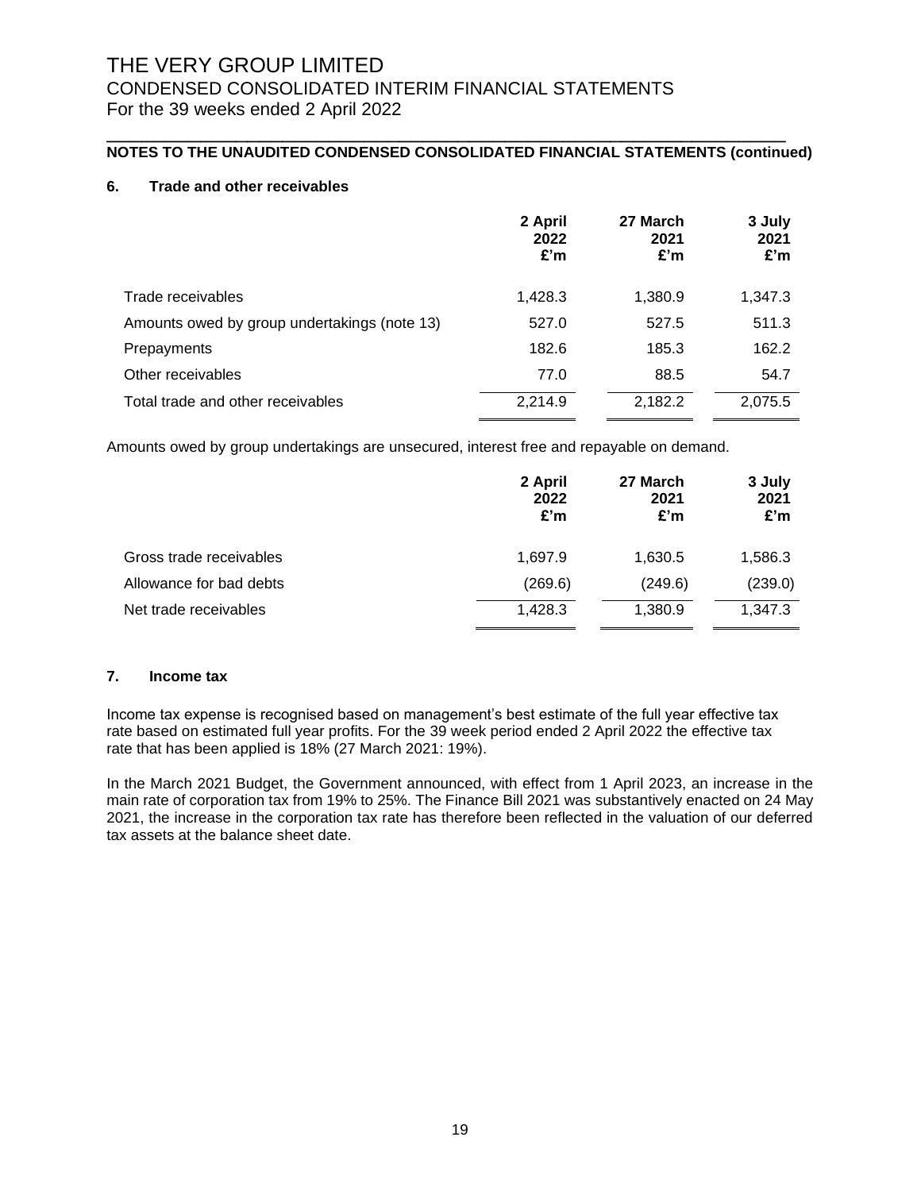### **NOTES TO THE UNAUDITED CONDENSED CONSOLIDATED FINANCIAL STATEMENTS (continued)**

\_\_\_\_\_\_\_\_\_\_\_\_\_\_\_\_\_\_\_\_\_\_\_\_\_\_\_\_\_\_\_\_\_\_\_\_\_\_\_\_\_\_\_\_\_\_\_\_\_\_\_\_\_\_\_\_\_\_

### **6. Trade and other receivables**

|                                              | 2 April<br>2022<br>£'m | 27 March<br>2021<br>£'m | 3 July<br>2021<br>£'m |
|----------------------------------------------|------------------------|-------------------------|-----------------------|
| Trade receivables                            | 1,428.3                | 1,380.9                 | 1,347.3               |
| Amounts owed by group undertakings (note 13) | 527.0                  | 527.5                   | 511.3                 |
| Prepayments                                  | 182.6                  | 185.3                   | 162.2                 |
| Other receivables                            | 77.0                   | 88.5                    | 54.7                  |
| Total trade and other receivables            | 2,214.9                | 2,182.2                 | 2,075.5               |

Amounts owed by group undertakings are unsecured, interest free and repayable on demand.

|                         | 2 April<br>2022<br>£'m | 27 March<br>2021<br>£'m | 3 July<br>2021<br>£'m |
|-------------------------|------------------------|-------------------------|-----------------------|
| Gross trade receivables | 1,697.9                | 1,630.5                 | 1,586.3               |
| Allowance for bad debts | (269.6)                | (249.6)                 | (239.0)               |
| Net trade receivables   | 1,428.3                | 1,380.9                 | 1,347.3               |

#### **7. Income tax**

Income tax expense is recognised based on management's best estimate of the full year effective tax rate based on estimated full year profits. For the 39 week period ended 2 April 2022 the effective tax rate that has been applied is 18% (27 March 2021: 19%).

In the March 2021 Budget, the Government announced, with effect from 1 April 2023, an increase in the main rate of corporation tax from 19% to 25%. The Finance Bill 2021 was substantively enacted on 24 May 2021, the increase in the corporation tax rate has therefore been reflected in the valuation of our deferred tax assets at the balance sheet date.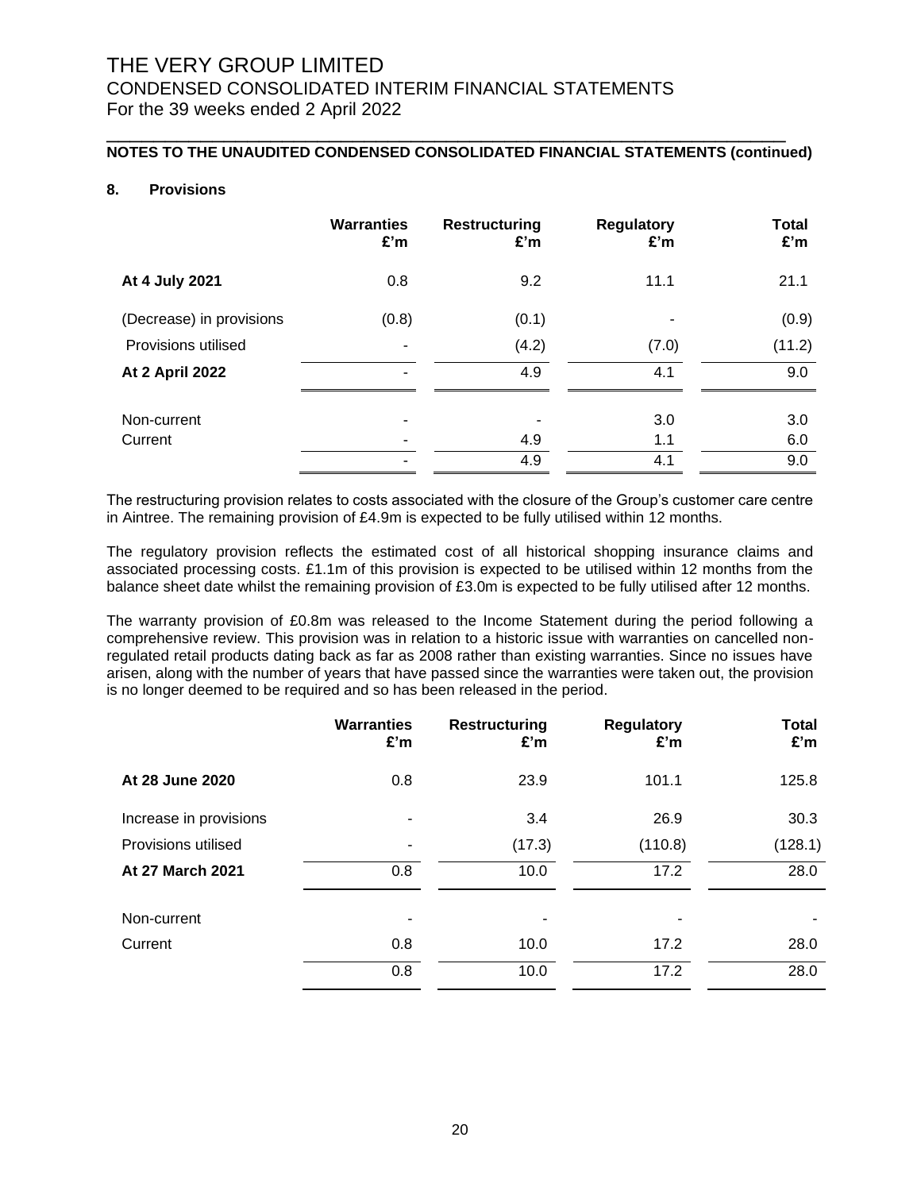## **NOTES TO THE UNAUDITED CONDENSED CONSOLIDATED FINANCIAL STATEMENTS (continued)**

\_\_\_\_\_\_\_\_\_\_\_\_\_\_\_\_\_\_\_\_\_\_\_\_\_\_\_\_\_\_\_\_\_\_\_\_\_\_\_\_\_\_\_\_\_\_\_\_\_\_\_\_\_\_\_\_\_\_

## **8. Provisions**

|                          | <b>Warranties</b><br>£'m | <b>Restructuring</b><br>£'m | <b>Regulatory</b><br>£'m | Total<br>£'m |
|--------------------------|--------------------------|-----------------------------|--------------------------|--------------|
| At 4 July 2021           | 0.8                      | 9.2                         | 11.1                     | 21.1         |
| (Decrease) in provisions | (0.8)                    | (0.1)                       | $\blacksquare$           | (0.9)        |
| Provisions utilised      | $\overline{\phantom{a}}$ | (4.2)                       | (7.0)                    | (11.2)       |
| <b>At 2 April 2022</b>   | ٠                        | 4.9                         | 4.1                      | 9.0          |
| Non-current              | ۰                        |                             | 3.0                      | 3.0          |
| Current                  | ۰                        | 4.9                         | 1.1                      | 6.0          |
|                          | $\overline{\phantom{a}}$ | 4.9                         | 4.1                      | 9.0          |

The restructuring provision relates to costs associated with the closure of the Group's customer care centre in Aintree. The remaining provision of £4.9m is expected to be fully utilised within 12 months.

The regulatory provision reflects the estimated cost of all historical shopping insurance claims and associated processing costs. £1.1m of this provision is expected to be utilised within 12 months from the balance sheet date whilst the remaining provision of £3.0m is expected to be fully utilised after 12 months.

The warranty provision of £0.8m was released to the Income Statement during the period following a comprehensive review. This provision was in relation to a historic issue with warranties on cancelled nonregulated retail products dating back as far as 2008 rather than existing warranties. Since no issues have arisen, along with the number of years that have passed since the warranties were taken out, the provision is no longer deemed to be required and so has been released in the period.

|                         | <b>Warranties</b><br>£'m | <b>Restructuring</b><br>£'m | <b>Regulatory</b><br>£'m | <b>Total</b><br>£'m |
|-------------------------|--------------------------|-----------------------------|--------------------------|---------------------|
| At 28 June 2020         | 0.8                      | 23.9                        | 101.1                    | 125.8               |
| Increase in provisions  | $\overline{\phantom{a}}$ | 3.4                         | 26.9                     | 30.3                |
| Provisions utilised     | $\overline{\phantom{a}}$ | (17.3)                      | (110.8)                  | (128.1)             |
| <b>At 27 March 2021</b> | 0.8                      | 10.0                        | 17.2                     | 28.0                |
| Non-current             |                          |                             |                          |                     |
| Current                 | 0.8                      | 10.0                        | 17.2                     | 28.0                |
|                         | 0.8                      | 10.0                        | 17.2                     | 28.0                |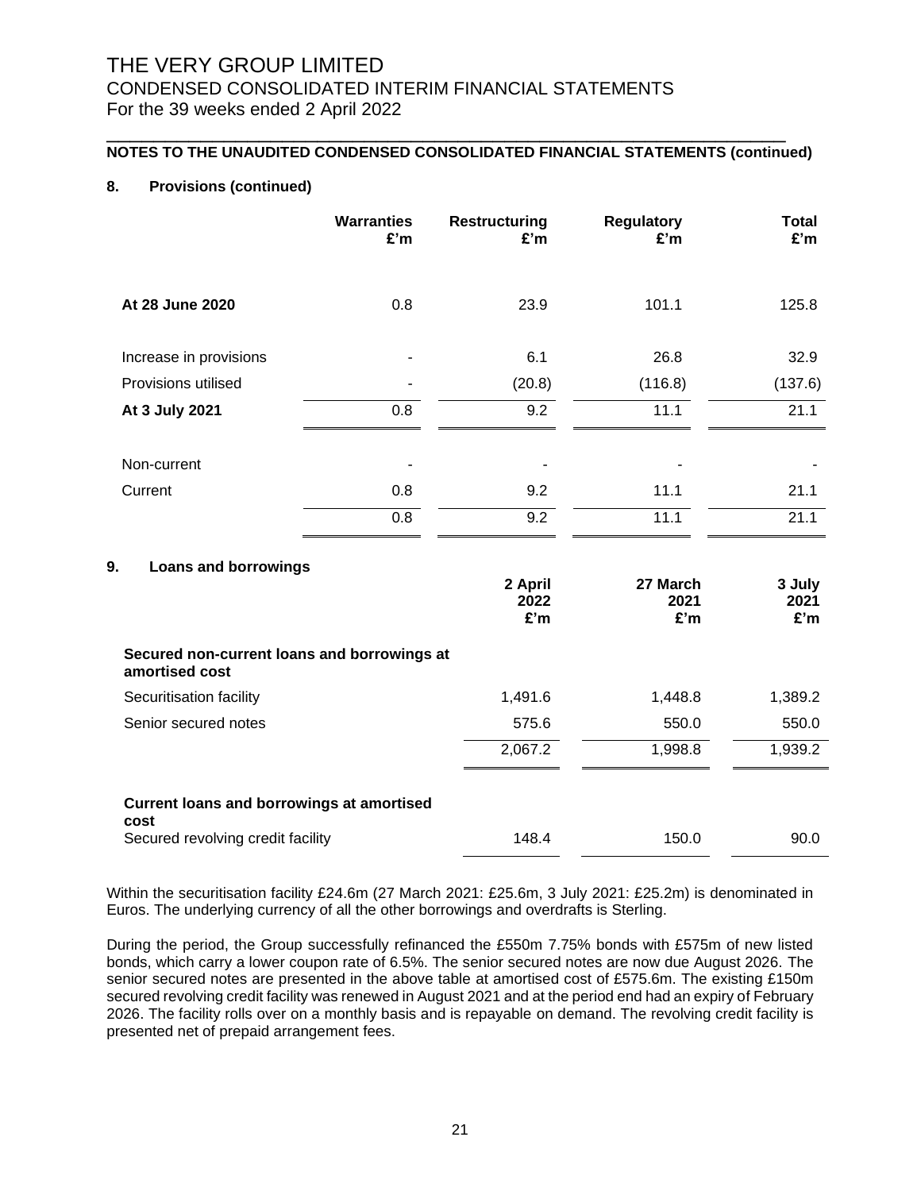## **NOTES TO THE UNAUDITED CONDENSED CONSOLIDATED FINANCIAL STATEMENTS (continued)**

\_\_\_\_\_\_\_\_\_\_\_\_\_\_\_\_\_\_\_\_\_\_\_\_\_\_\_\_\_\_\_\_\_\_\_\_\_\_\_\_\_\_\_\_\_\_\_\_\_\_\_\_\_\_\_\_\_\_

### **8. Provisions (continued)**

|                        | <b>Warranties</b><br>£'m | <b>Restructuring</b><br>£'m | <b>Regulatory</b><br>£'m | Total<br>£'m |
|------------------------|--------------------------|-----------------------------|--------------------------|--------------|
| At 28 June 2020        | 0.8                      | 23.9                        | 101.1                    | 125.8        |
| Increase in provisions | ۰                        | 6.1                         | 26.8                     | 32.9         |
| Provisions utilised    | ۰                        | (20.8)                      | (116.8)                  | (137.6)      |
| At 3 July 2021         | 0.8                      | 9.2                         | 11.1                     | 21.1         |
| Non-current            |                          |                             |                          |              |
| Current                | 0.8                      | 9.2                         | 11.1                     | 21.1         |
|                        | 0.8                      | 9.2                         | 11.1                     | 21.1         |
|                        |                          |                             |                          |              |

### **9. Loans and borrowings**

|                                                               | 2 April<br>2022<br>E'm | 27 March<br>2021<br>£'m | 3 July<br>2021<br>£'m |
|---------------------------------------------------------------|------------------------|-------------------------|-----------------------|
| Secured non-current loans and borrowings at<br>amortised cost |                        |                         |                       |
| Securitisation facility                                       | 1,491.6                | 1,448.8                 | 1,389.2               |
| Senior secured notes                                          | 575.6                  | 550.0                   | 550.0                 |
|                                                               | 2,067.2                | 1,998.8                 | 1,939.2               |
|                                                               |                        |                         |                       |
| <b>Current loans and borrowings at amortised</b><br>cost      |                        |                         |                       |
| Secured revolving credit facility                             | 148.4                  | 150.0                   | 90.0                  |

Within the securitisation facility £24.6m (27 March 2021: £25.6m, 3 July 2021: £25.2m) is denominated in Euros. The underlying currency of all the other borrowings and overdrafts is Sterling.

During the period, the Group successfully refinanced the £550m 7.75% bonds with £575m of new listed bonds, which carry a lower coupon rate of 6.5%. The senior secured notes are now due August 2026. The senior secured notes are presented in the above table at amortised cost of £575.6m. The existing £150m secured revolving credit facility was renewed in August 2021 and at the period end had an expiry of February 2026. The facility rolls over on a monthly basis and is repayable on demand. The revolving credit facility is presented net of prepaid arrangement fees.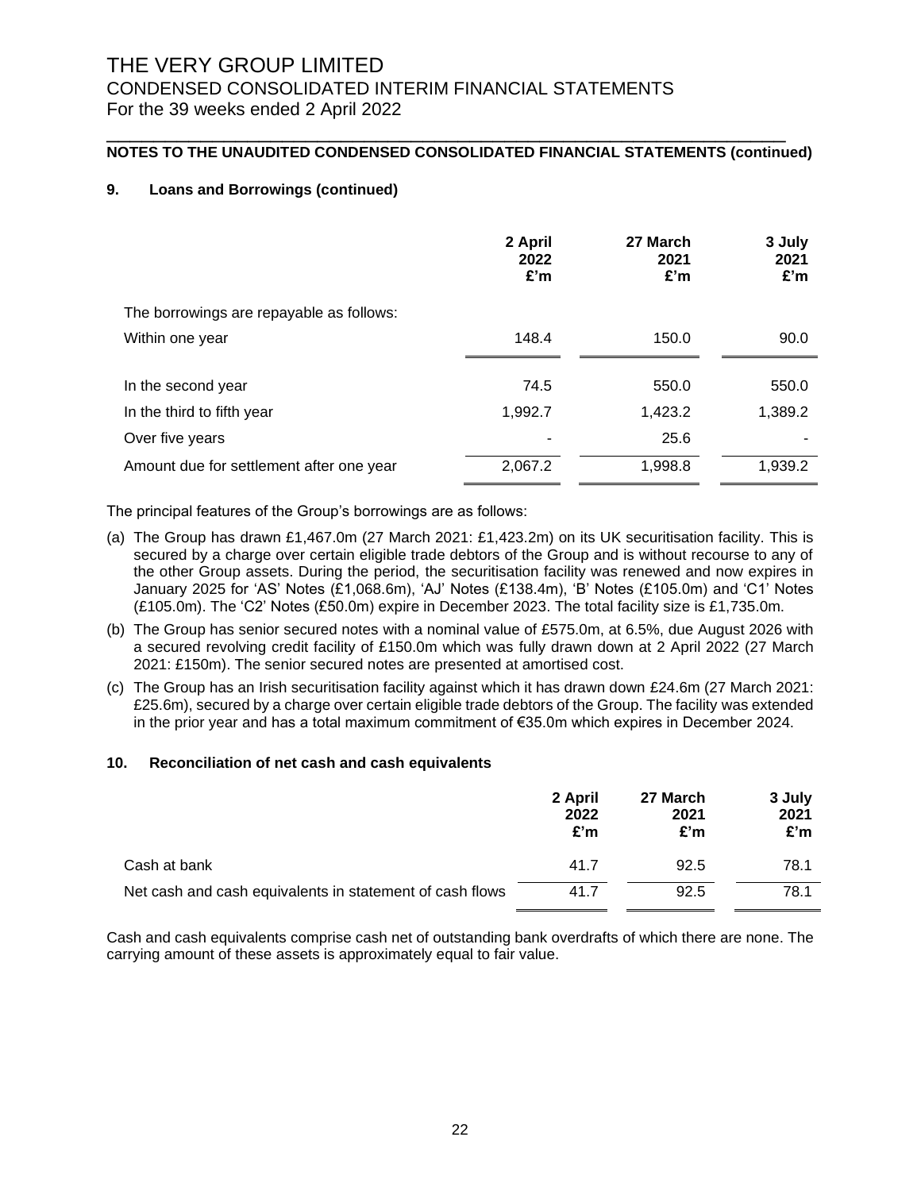## **NOTES TO THE UNAUDITED CONDENSED CONSOLIDATED FINANCIAL STATEMENTS (continued)**

\_\_\_\_\_\_\_\_\_\_\_\_\_\_\_\_\_\_\_\_\_\_\_\_\_\_\_\_\_\_\_\_\_\_\_\_\_\_\_\_\_\_\_\_\_\_\_\_\_\_\_\_\_\_\_\_\_\_

### **9. Loans and Borrowings (continued)**

|                                          | 2 April<br>2022<br>£'m | 27 March<br>2021<br>£'m | 3 July<br>2021<br>£'m |
|------------------------------------------|------------------------|-------------------------|-----------------------|
| The borrowings are repayable as follows: |                        |                         |                       |
| Within one year                          | 148.4                  | 150.0                   | 90.0                  |
|                                          |                        |                         |                       |
| In the second year                       | 74.5                   | 550.0                   | 550.0                 |
| In the third to fifth year               | 1,992.7                | 1,423.2                 | 1,389.2               |
| Over five years                          |                        | 25.6                    |                       |
| Amount due for settlement after one year | 2,067.2                | 1,998.8                 | 1,939.2               |

The principal features of the Group's borrowings are as follows:

- (a) The Group has drawn £1,467.0m (27 March 2021: £1,423.2m) on its UK securitisation facility. This is secured by a charge over certain eligible trade debtors of the Group and is without recourse to any of the other Group assets. During the period, the securitisation facility was renewed and now expires in January 2025 for 'AS' Notes (£1,068.6m), 'AJ' Notes (£138.4m), 'B' Notes (£105.0m) and 'C1' Notes (£105.0m). The 'C2' Notes (£50.0m) expire in December 2023. The total facility size is £1,735.0m.
- (b) The Group has senior secured notes with a nominal value of £575.0m, at 6.5%, due August 2026 with a secured revolving credit facility of £150.0m which was fully drawn down at 2 April 2022 (27 March 2021: £150m). The senior secured notes are presented at amortised cost.
- (c) The Group has an Irish securitisation facility against which it has drawn down £24.6m (27 March 2021: £25.6m), secured by a charge over certain eligible trade debtors of the Group. The facility was extended in the prior year and has a total maximum commitment of €35.0m which expires in December 2024.

#### **10. Reconciliation of net cash and cash equivalents**

|                                                          | 2 April<br>2022<br>£'m | 27 March<br>2021<br>£'m | 3 July<br>2021<br>£'m |
|----------------------------------------------------------|------------------------|-------------------------|-----------------------|
| Cash at bank                                             | 41.7                   | 92.5                    | 78.1                  |
| Net cash and cash equivalents in statement of cash flows | 41.7                   | 92.5                    | 78.1                  |

Cash and cash equivalents comprise cash net of outstanding bank overdrafts of which there are none. The carrying amount of these assets is approximately equal to fair value.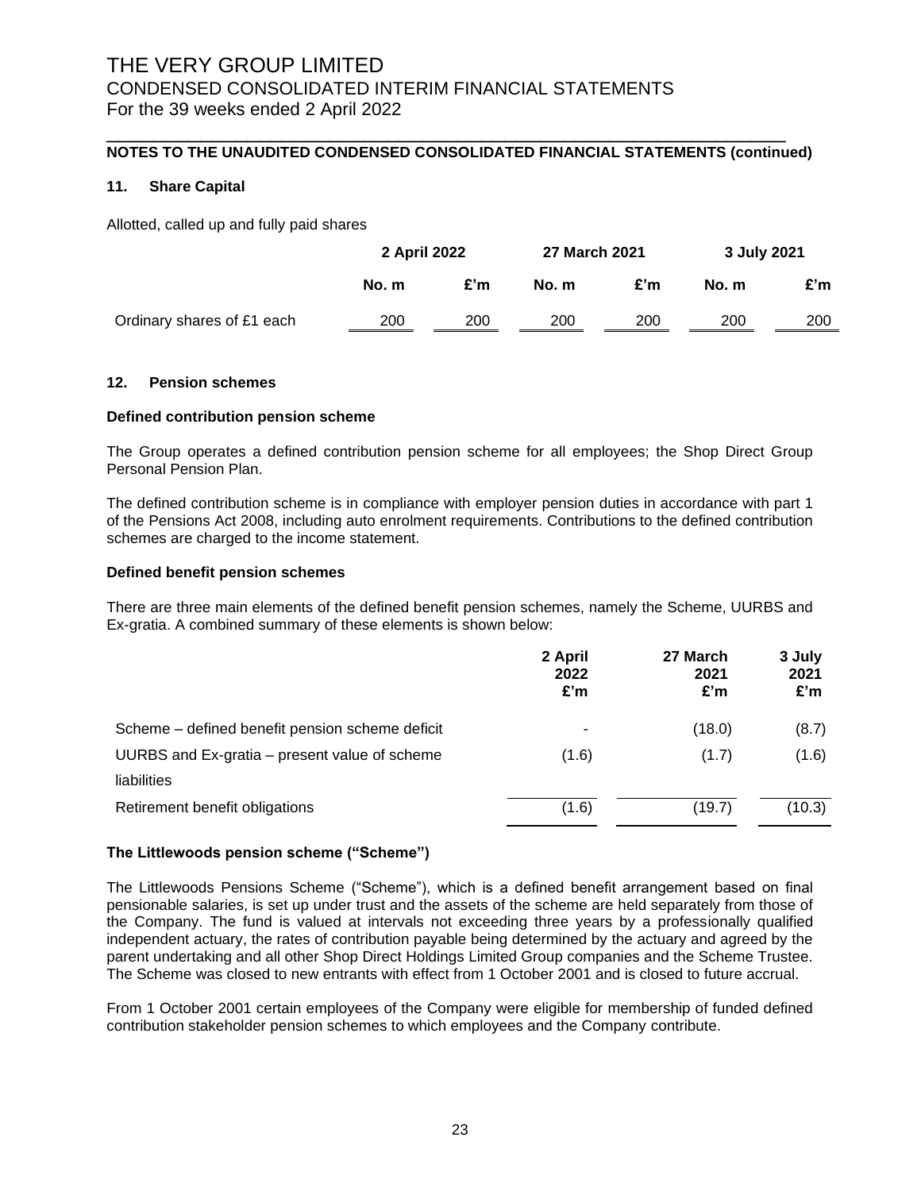### **NOTES TO THE UNAUDITED CONDENSED CONSOLIDATED FINANCIAL STATEMENTS (continued)**

\_\_\_\_\_\_\_\_\_\_\_\_\_\_\_\_\_\_\_\_\_\_\_\_\_\_\_\_\_\_\_\_\_\_\_\_\_\_\_\_\_\_\_\_\_\_\_\_\_\_\_\_\_\_\_\_\_\_

#### **11. Share Capital**

Allotted, called up and fully paid shares

|                            | 2 April 2022 |     | 27 March 2021 |     | 3 July 2021 |     |
|----------------------------|--------------|-----|---------------|-----|-------------|-----|
|                            | No. m        | £'m | No. m         | £'m | No. m       | £'m |
| Ordinary shares of £1 each | 200          | 200 | 200           | 200 | 200         | 200 |

#### **12. Pension schemes**

#### **Defined contribution pension scheme**

The Group operates a defined contribution pension scheme for all employees; the Shop Direct Group Personal Pension Plan.

The defined contribution scheme is in compliance with employer pension duties in accordance with part 1 of the Pensions Act 2008, including auto enrolment requirements. Contributions to the defined contribution schemes are charged to the income statement.

### **Defined benefit pension schemes**

There are three main elements of the defined benefit pension schemes, namely the Scheme, UURBS and Ex-gratia. A combined summary of these elements is shown below:

|                                                 | 2 April<br>2022<br>£'m | 27 March<br>2021<br>£'m | 3 July<br>2021<br>£'m |
|-------------------------------------------------|------------------------|-------------------------|-----------------------|
| Scheme – defined benefit pension scheme deficit | ۰                      | (18.0)                  | (8.7)                 |
| UURBS and Ex-gratia – present value of scheme   | (1.6)                  | (1.7)                   | (1.6)                 |
| liabilities                                     |                        |                         |                       |
| Retirement benefit obligations                  | (1.6)                  | (19.7)                  | (10.3)                |

#### **The Littlewoods pension scheme ("Scheme")**

The Littlewoods Pensions Scheme ("Scheme"), which is a defined benefit arrangement based on final pensionable salaries, is set up under trust and the assets of the scheme are held separately from those of the Company. The fund is valued at intervals not exceeding three years by a professionally qualified independent actuary, the rates of contribution payable being determined by the actuary and agreed by the parent undertaking and all other Shop Direct Holdings Limited Group companies and the Scheme Trustee. The Scheme was closed to new entrants with effect from 1 October 2001 and is closed to future accrual.

From 1 October 2001 certain employees of the Company were eligible for membership of funded defined contribution stakeholder pension schemes to which employees and the Company contribute.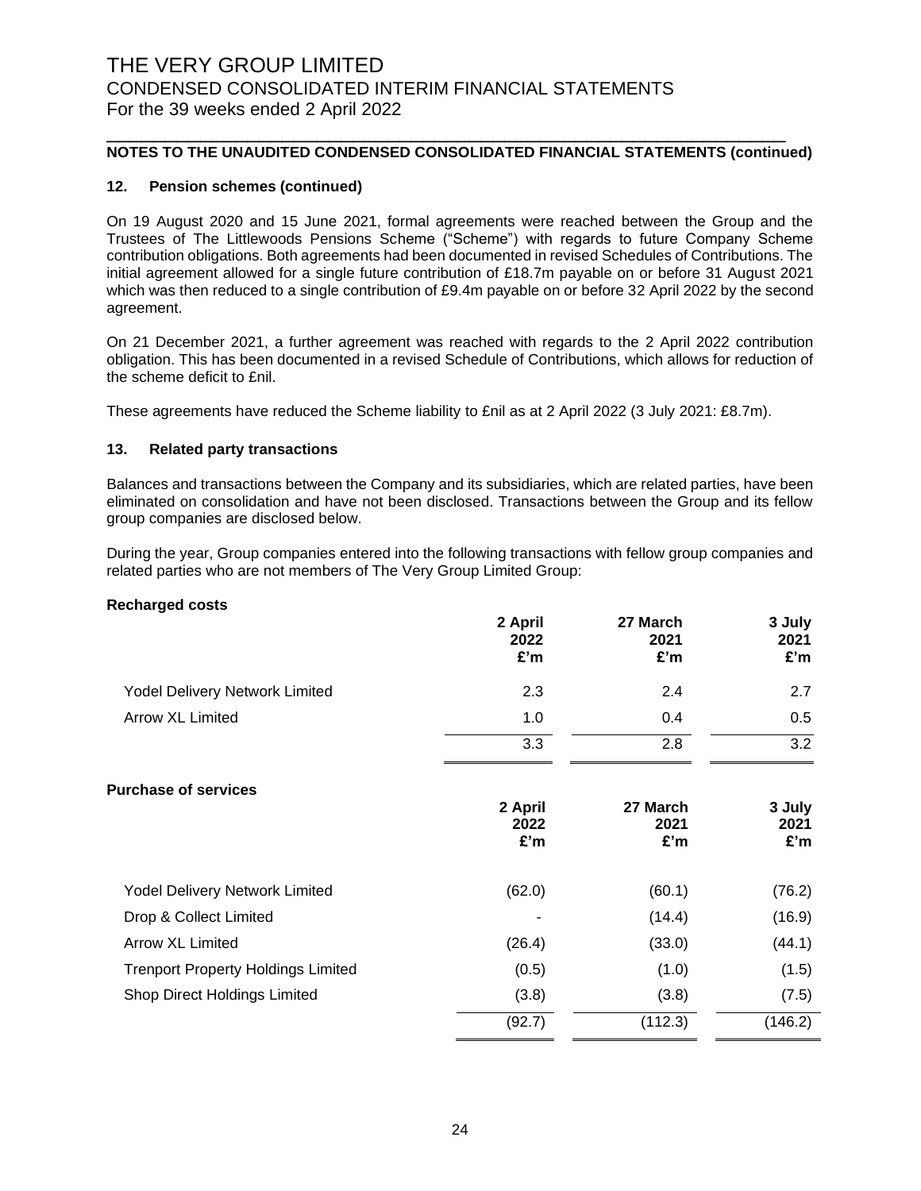### **NOTES TO THE UNAUDITED CONDENSED CONSOLIDATED FINANCIAL STATEMENTS (continued)**

\_\_\_\_\_\_\_\_\_\_\_\_\_\_\_\_\_\_\_\_\_\_\_\_\_\_\_\_\_\_\_\_\_\_\_\_\_\_\_\_\_\_\_\_\_\_\_\_\_\_\_\_\_\_\_\_\_\_

#### **12. Pension schemes (continued)**

On 19 August 2020 and 15 June 2021, formal agreements were reached between the Group and the Trustees of The Littlewoods Pensions Scheme ("Scheme") with regards to future Company Scheme contribution obligations. Both agreements had been documented in revised Schedules of Contributions. The initial agreement allowed for a single future contribution of £18.7m payable on or before 31 August 2021 which was then reduced to a single contribution of £9.4m payable on or before 32 April 2022 by the second agreement.

On 21 December 2021, a further agreement was reached with regards to the 2 April 2022 contribution obligation. This has been documented in a revised Schedule of Contributions, which allows for reduction of the scheme deficit to £nil.

These agreements have reduced the Scheme liability to £nil as at 2 April 2022 (3 July 2021: £8.7m).

#### **13. Related party transactions**

Balances and transactions between the Company and its subsidiaries, which are related parties, have been eliminated on consolidation and have not been disclosed. Transactions between the Group and its fellow group companies are disclosed below.

During the year, Group companies entered into the following transactions with fellow group companies and related parties who are not members of The Very Group Limited Group:

#### **Recharged costs**

|                                | 2 April<br>2022<br>£'m | 27 March<br>2021<br>£'m | 3 July<br>2021<br>£'m |
|--------------------------------|------------------------|-------------------------|-----------------------|
| Yodel Delivery Network Limited | 2.3                    | 2.4                     | 2.7                   |
| Arrow XL Limited               | 1.0                    | 0.4                     | 0.5                   |
|                                | 3.3                    | 2.8                     | 3.2                   |

| <b>Purchase of services</b>               |         |          |         |
|-------------------------------------------|---------|----------|---------|
|                                           | 2 April | 27 March | 3 July  |
|                                           | 2022    | 2021     | 2021    |
|                                           | £'m     | £'m      | £'m     |
| <b>Yodel Delivery Network Limited</b>     | (62.0)  | (60.1)   | (76.2)  |
| Drop & Collect Limited                    |         | (14.4)   | (16.9)  |
| <b>Arrow XL Limited</b>                   | (26.4)  | (33.0)   | (44.1)  |
| <b>Trenport Property Holdings Limited</b> | (0.5)   | (1.0)    | (1.5)   |
| Shop Direct Holdings Limited              | (3.8)   | (3.8)    | (7.5)   |
|                                           | (92.7)  | (112.3)  | (146.2) |